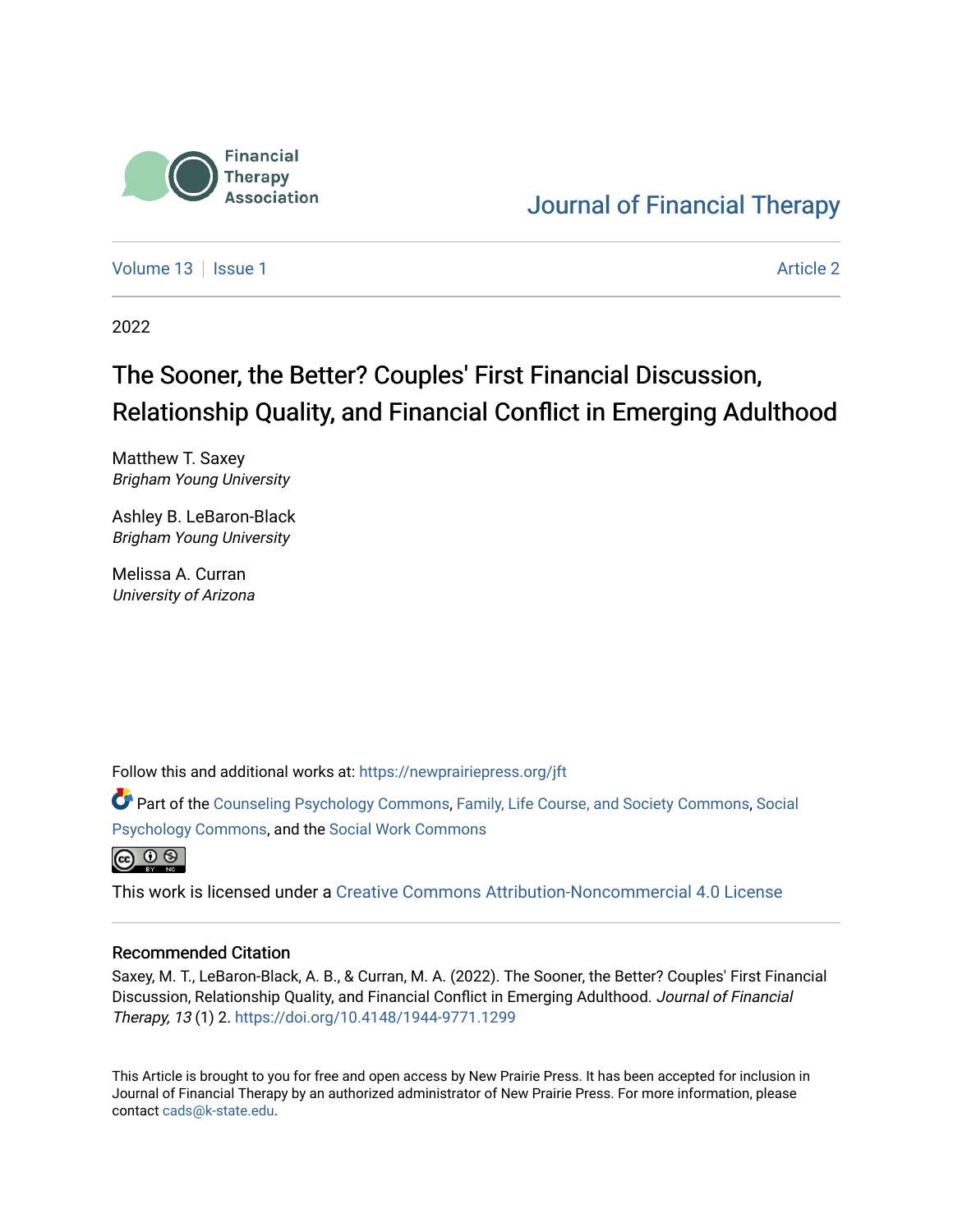

# [Journal of Financial Therapy](https://newprairiepress.org/jft)

[Volume 13](https://newprairiepress.org/jft/vol13) Setup 1 [Article 2](https://newprairiepress.org/jft/vol13/iss1/2) Article 2 Article 2 Article 2 Article 2 Article 2 Article 2

2022

# The Sooner, the Better? Couples' First Financial Discussion, Relationship Quality, and Financial Conflict in Emerging Adulthood

Matthew T. Saxey Brigham Young University

Ashley B. LeBaron-Black Brigham Young University

Melissa A. Curran University of Arizona

Follow this and additional works at: [https://newprairiepress.org/jft](https://newprairiepress.org/jft?utm_source=newprairiepress.org%2Fjft%2Fvol13%2Fiss1%2F2&utm_medium=PDF&utm_campaign=PDFCoverPages)

Part of the [Counseling Psychology Commons](https://network.bepress.com/hgg/discipline/1044?utm_source=newprairiepress.org%2Fjft%2Fvol13%2Fiss1%2F2&utm_medium=PDF&utm_campaign=PDFCoverPages), [Family, Life Course, and Society Commons,](https://network.bepress.com/hgg/discipline/419?utm_source=newprairiepress.org%2Fjft%2Fvol13%2Fiss1%2F2&utm_medium=PDF&utm_campaign=PDFCoverPages) [Social](https://network.bepress.com/hgg/discipline/414?utm_source=newprairiepress.org%2Fjft%2Fvol13%2Fiss1%2F2&utm_medium=PDF&utm_campaign=PDFCoverPages) [Psychology Commons,](https://network.bepress.com/hgg/discipline/414?utm_source=newprairiepress.org%2Fjft%2Fvol13%2Fiss1%2F2&utm_medium=PDF&utm_campaign=PDFCoverPages) and the [Social Work Commons](https://network.bepress.com/hgg/discipline/713?utm_source=newprairiepress.org%2Fjft%2Fvol13%2Fiss1%2F2&utm_medium=PDF&utm_campaign=PDFCoverPages) 



This work is licensed under a [Creative Commons Attribution-Noncommercial 4.0 License](https://creativecommons.org/licenses/by-nc/4.0/)

#### Recommended Citation

Saxey, M. T., LeBaron-Black, A. B., & Curran, M. A. (2022). The Sooner, the Better? Couples' First Financial Discussion, Relationship Quality, and Financial Conflict in Emerging Adulthood. Journal of Financial Therapy, 13 (1) 2. <https://doi.org/10.4148/1944-9771.1299>

This Article is brought to you for free and open access by New Prairie Press. It has been accepted for inclusion in Journal of Financial Therapy by an authorized administrator of New Prairie Press. For more information, please contact [cads@k-state.edu](mailto:cads@k-state.edu).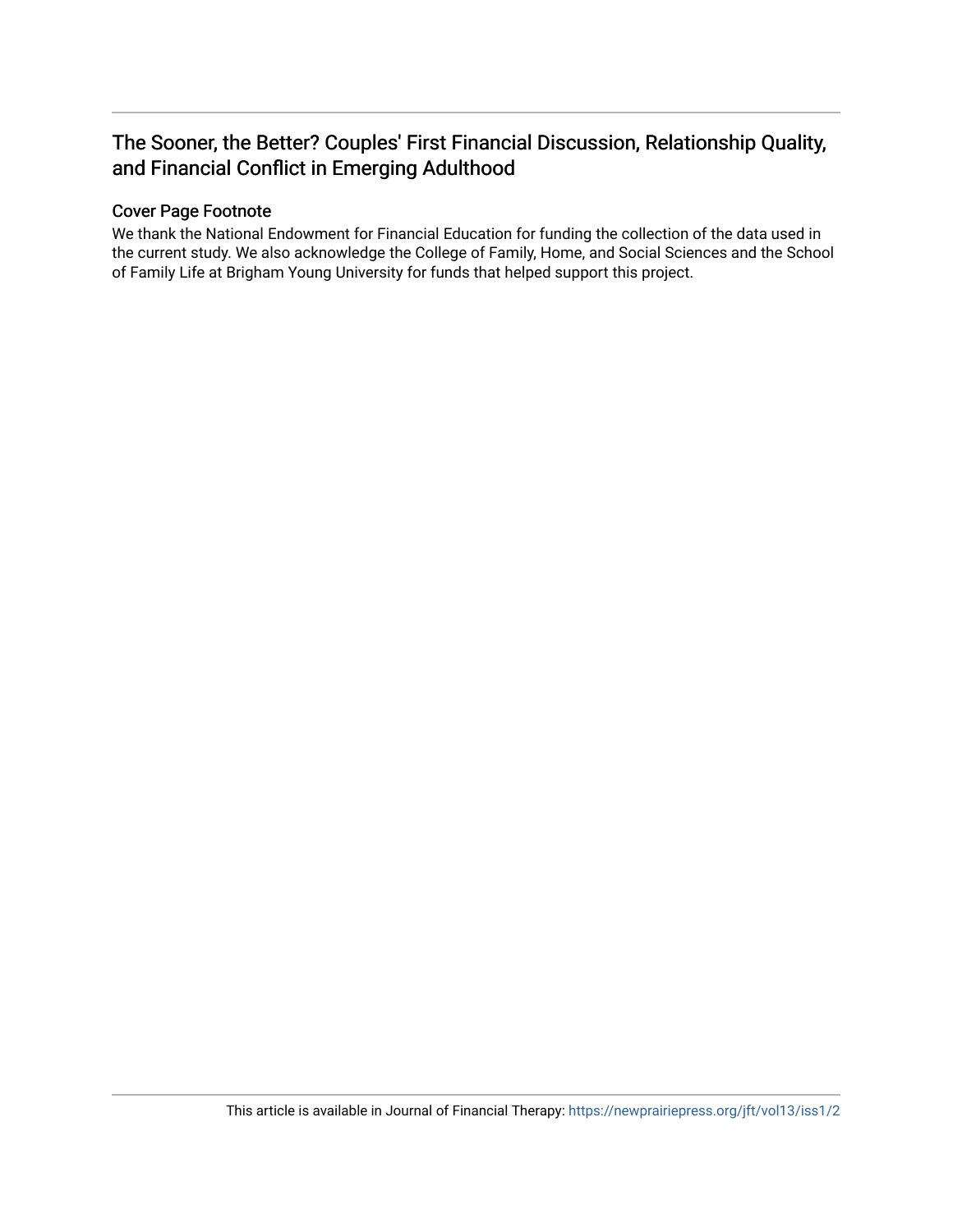## The Sooner, the Better? Couples' First Financial Discussion, Relationship Quality, and Financial Conflict in Emerging Adulthood

#### Cover Page Footnote

We thank the National Endowment for Financial Education for funding the collection of the data used in the current study. We also acknowledge the College of Family, Home, and Social Sciences and the School of Family Life at Brigham Young University for funds that helped support this project.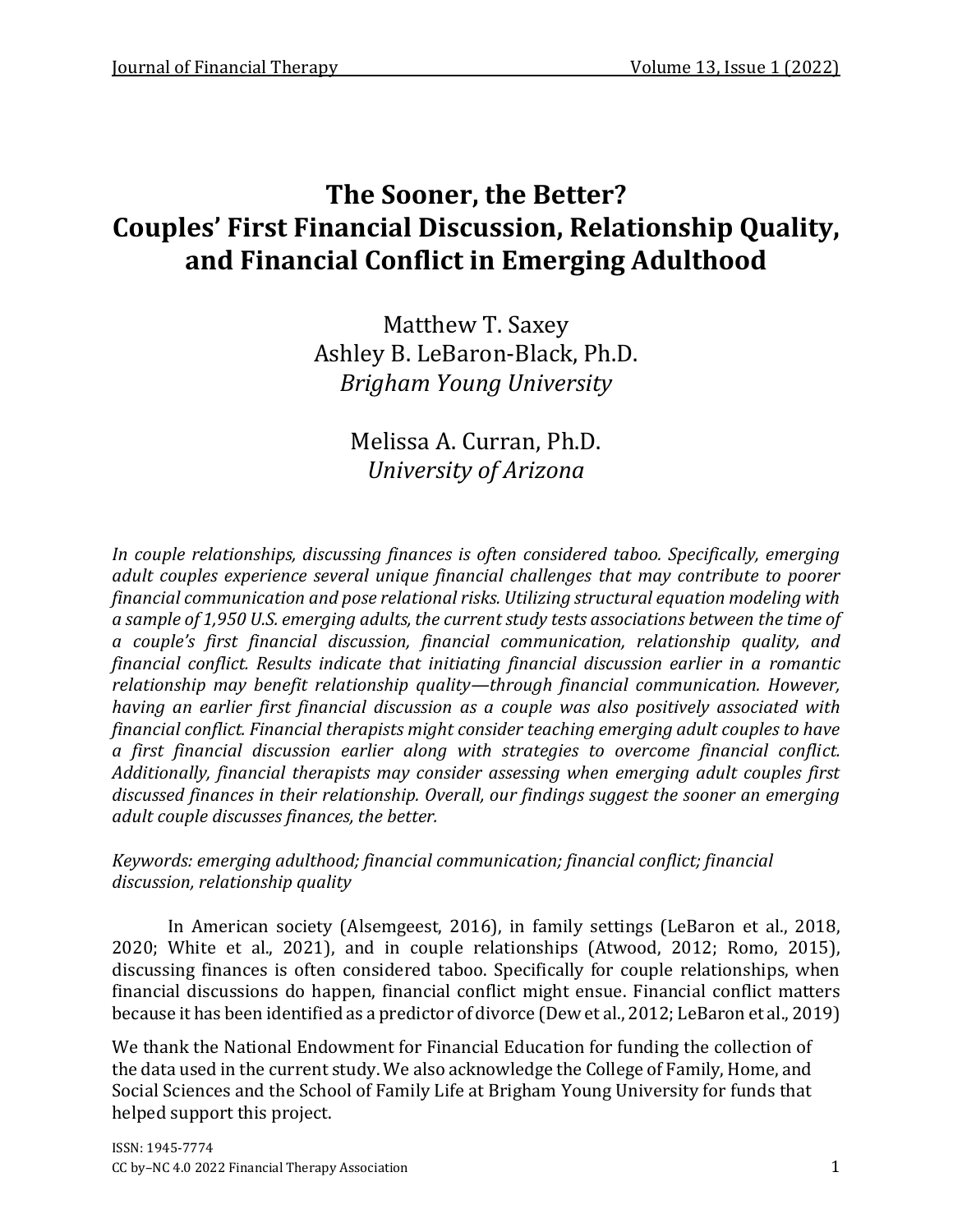# **The Sooner, the Better? Couples' First Financial Discussion, Relationship Quality, and Financial Conflict in Emerging Adulthood**

Matthew T. Saxey Ashley B. LeBaron-Black, Ph.D. *Brigham Young University*

> Melissa A. Curran, Ph.D. *University of Arizona*

*In couple relationships, discussing finances is often considered taboo. Specifically, emerging adult couples experience several unique financial challenges that may contribute to poorer financial communication and pose relational risks. Utilizing structural equation modeling with a sample of 1,950 U.S. emerging adults, the current study tests associations between the time of a couple's first financial discussion, financial communication, relationship quality, and financial conflict. Results indicate that initiating financial discussion earlier in a romantic relationship may benefit relationship quality—through financial communication. However, having an earlier first financial discussion as a couple was also positively associated with financial conflict. Financial therapists might consider teaching emerging adult couples to have a first financial discussion earlier along with strategies to overcome financial conflict. Additionally, financial therapists may consider assessing when emerging adult couples first discussed finances in their relationship. Overall, our findings suggest the sooner an emerging adult couple discusses finances, the better.* 

## *Keywords: emerging adulthood; financial communication; financial conflict; financial discussion, relationship quality*

In American society (Alsemgeest, 2016), in family settings (LeBaron et al., 2018, 2020; White et al., 2021), and in couple relationships (Atwood, 2012; Romo, 2015), discussing finances is often considered taboo. Specifically for couple relationships, when financial discussions do happen, financial conflict might ensue. Financial conflict matters because it has been identified as a predictor of divorce (Dew et al., 2012; LeBaron et al., 2019)

We thank the National Endowment for Financial Education for funding the collection of the data used in the current study. We also acknowledge the College of Family, Home, and Social Sciences and the School of Family Life at Brigham Young University for funds that helped support this project.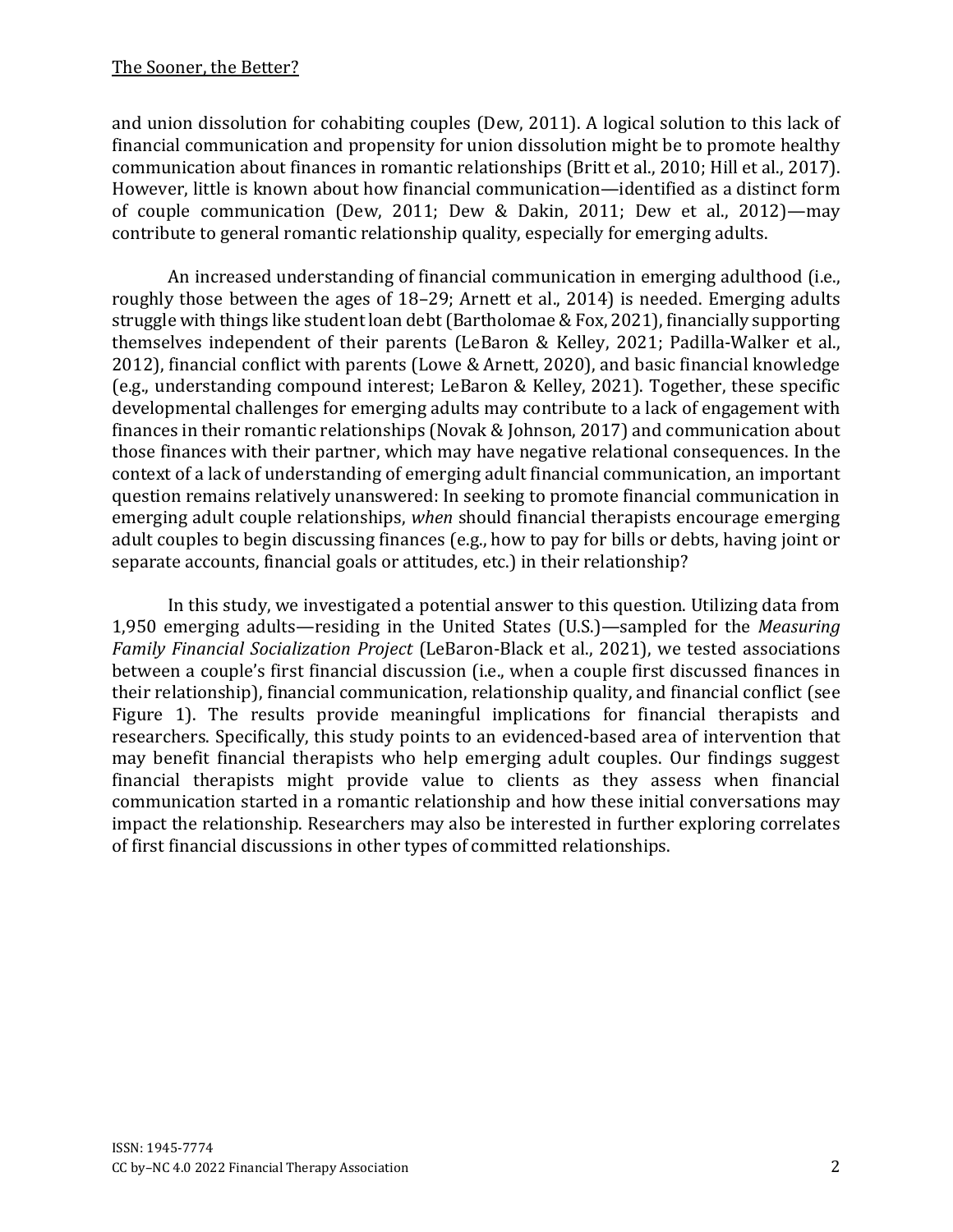and union dissolution for cohabiting couples (Dew, 2011). A logical solution to this lack of financial communication and propensity for union dissolution might be to promote healthy communication about finances in romantic relationships (Britt et al., 2010; Hill et al., 2017). However, little is known about how financial communication—identified as a distinct form of couple communication (Dew, 2011; Dew & Dakin, 2011; Dew et al., 2012)—may contribute to general romantic relationship quality, especially for emerging adults.

An increased understanding of financial communication in emerging adulthood (i.e., roughly those between the ages of 18–29; Arnett et al., 2014) is needed. Emerging adults struggle with things like student loan debt(Bartholomae & Fox, 2021), financially supporting themselves independent of their parents (LeBaron & Kelley, 2021; Padilla-Walker et al., 2012), financial conflict with parents (Lowe & Arnett, 2020), and basic financial knowledge (e.g., understanding compound interest; LeBaron & Kelley, 2021). Together, these specific developmental challenges for emerging adults may contribute to a lack of engagement with finances in their romantic relationships (Novak & Johnson, 2017) and communication about those finances with their partner, which may have negative relational consequences. In the context of a lack of understanding of emerging adult financial communication, an important question remains relatively unanswered: In seeking to promote financial communication in emerging adult couple relationships, *when* should financial therapists encourage emerging adult couples to begin discussing finances (e.g., how to pay for bills or debts, having joint or separate accounts, financial goals or attitudes, etc.) in their relationship?

In this study, we investigated a potential answer to this question. Utilizing data from 1,950 emerging adults—residing in the United States (U.S.)—sampled for the *Measuring Family Financial Socialization Project* (LeBaron-Black et al., 2021), we tested associations between a couple's first financial discussion (i.e., when a couple first discussed finances in their relationship), financial communication, relationship quality, and financial conflict (see Figure 1). The results provide meaningful implications for financial therapists and researchers. Specifically, this study points to an evidenced-based area of intervention that may benefit financial therapists who help emerging adult couples. Our findings suggest financial therapists might provide value to clients as they assess when financial communication started in a romantic relationship and how these initial conversations may impact the relationship. Researchers may also be interested in further exploring correlates of first financial discussions in other types of committed relationships.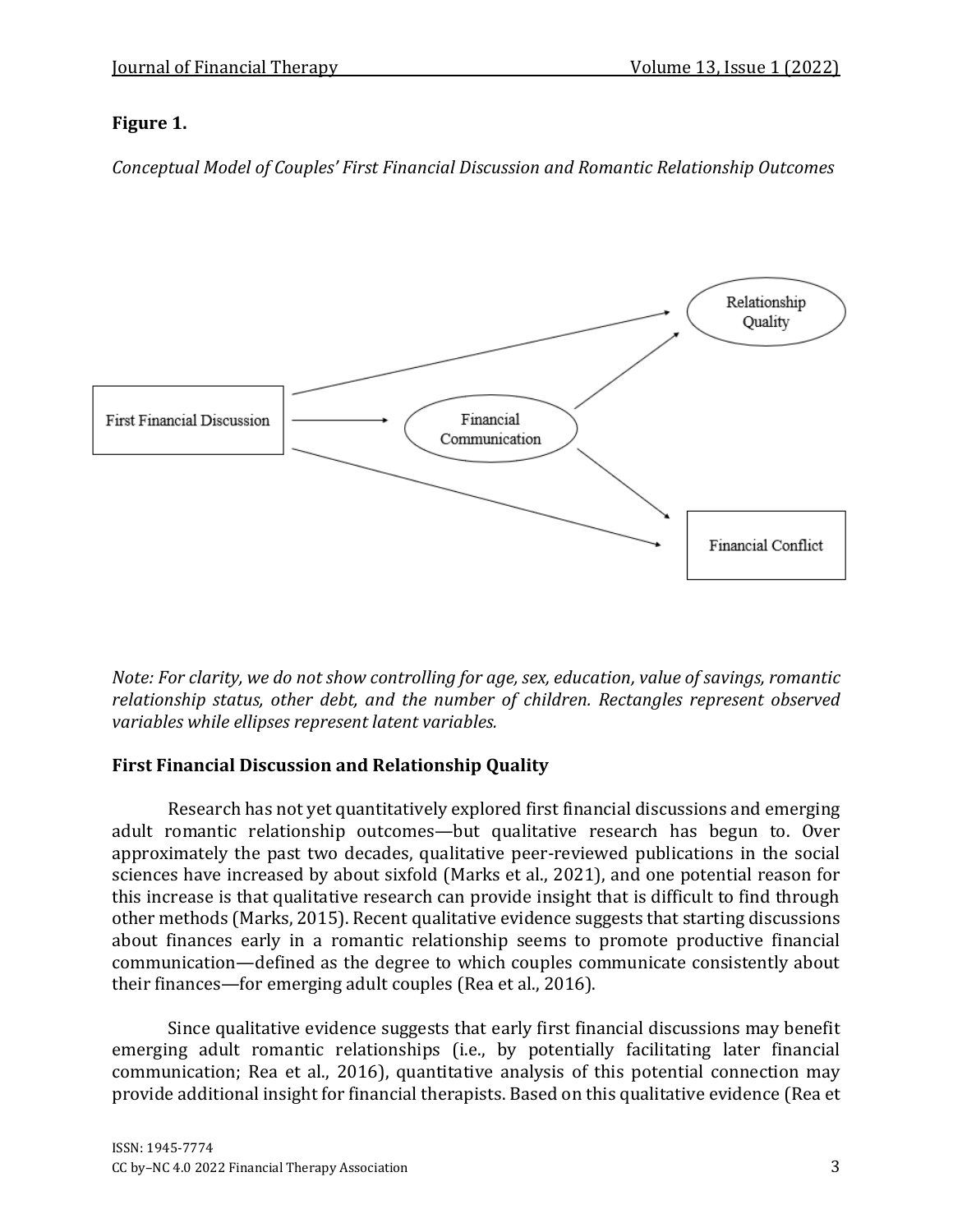## **Figure 1.**

*Conceptual Model of Couples' First Financial Discussion and Romantic Relationship Outcomes*



*Note: For clarity, we do not show controlling for age, sex, education, value of savings, romantic relationship status, other debt, and the number of children. Rectangles represent observed variables while ellipses represent latent variables.* 

## **First Financial Discussion and Relationship Quality**

Research has not yet quantitatively explored first financial discussions and emerging adult romantic relationship outcomes—but qualitative research has begun to. Over approximately the past two decades, qualitative peer-reviewed publications in the social sciences have increased by about sixfold (Marks et al., 2021), and one potential reason for this increase is that qualitative research can provide insight that is difficult to find through other methods (Marks, 2015). Recent qualitative evidence suggests that starting discussions about finances early in a romantic relationship seems to promote productive financial communication—defined as the degree to which couples communicate consistently about their finances—for emerging adult couples (Rea et al., 2016).

Since qualitative evidence suggests that early first financial discussions may benefit emerging adult romantic relationships (i.e., by potentially facilitating later financial communication; Rea et al., 2016), quantitative analysis of this potential connection may provide additional insight for financial therapists. Based on this qualitative evidence (Rea et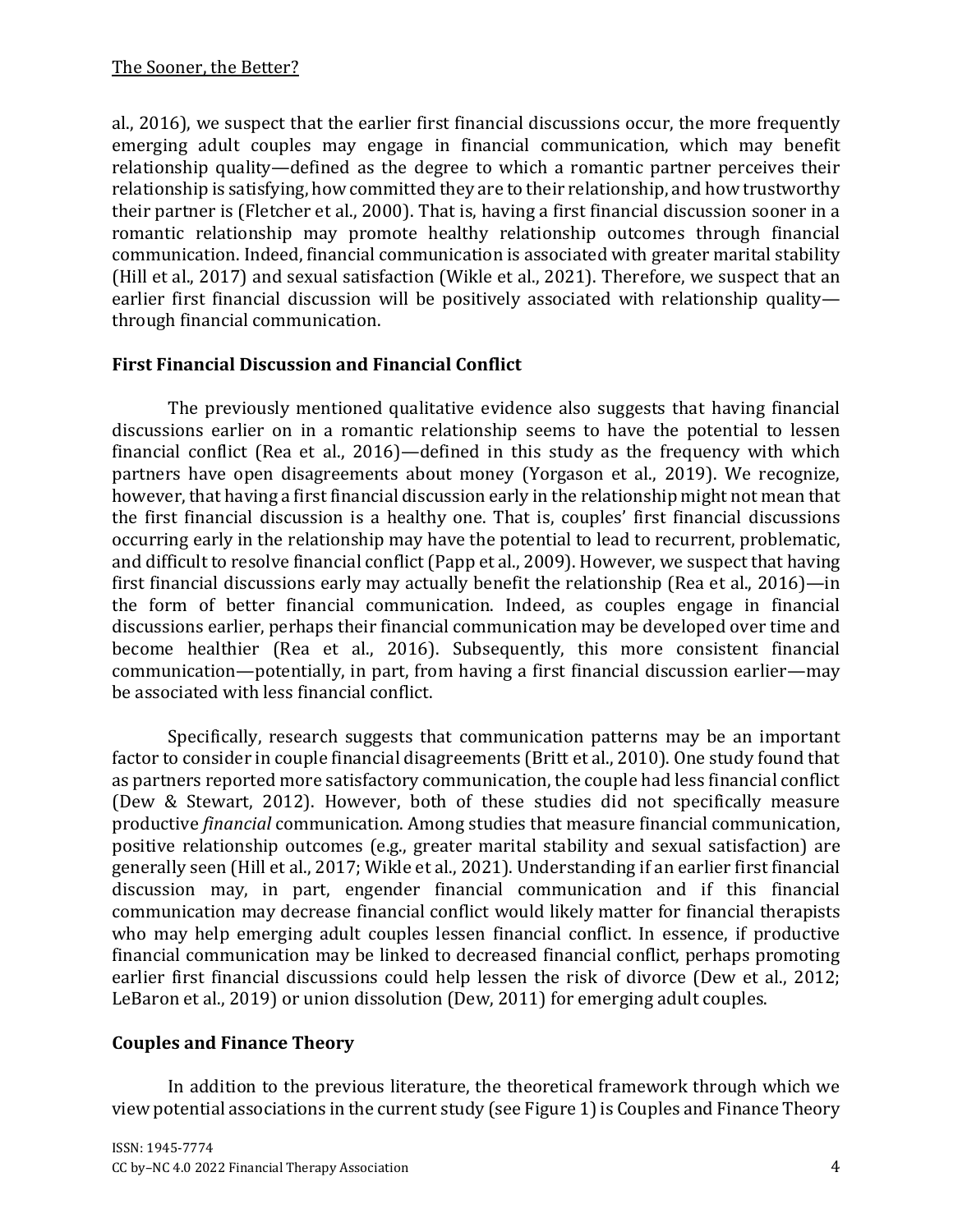al., 2016), we suspect that the earlier first financial discussions occur, the more frequently emerging adult couples may engage in financial communication, which may benefit relationship quality—defined as the degree to which a romantic partner perceives their relationship is satisfying, how committed they are to their relationship, and how trustworthy their partner is (Fletcher et al., 2000). That is, having a first financial discussion sooner in a romantic relationship may promote healthy relationship outcomes through financial communication. Indeed, financial communication is associated with greater marital stability (Hill et al., 2017) and sexual satisfaction (Wikle et al., 2021). Therefore, we suspect that an earlier first financial discussion will be positively associated with relationship quality through financial communication.

#### **First Financial Discussion and Financial Conflict**

The previously mentioned qualitative evidence also suggests that having financial discussions earlier on in a romantic relationship seems to have the potential to lessen financial conflict (Rea et al., 2016)—defined in this study as the frequency with which partners have open disagreements about money (Yorgason et al., 2019). We recognize, however, that having a first financial discussion early in the relationship might not mean that the first financial discussion is a healthy one. That is, couples' first financial discussions occurring early in the relationship may have the potential to lead to recurrent, problematic, and difficult to resolve financial conflict (Papp et al., 2009). However, we suspect that having first financial discussions early may actually benefit the relationship (Rea et al., 2016)—in the form of better financial communication. Indeed, as couples engage in financial discussions earlier, perhaps their financial communication may be developed over time and become healthier (Rea et al., 2016). Subsequently, this more consistent financial communication—potentially, in part, from having a first financial discussion earlier—may be associated with less financial conflict.

Specifically, research suggests that communication patterns may be an important factor to consider in couple financial disagreements (Britt et al., 2010). One study found that as partners reported more satisfactory communication, the couple had less financial conflict (Dew & Stewart, 2012). However, both of these studies did not specifically measure productive *financial* communication. Among studies that measure financial communication, positive relationship outcomes (e.g., greater marital stability and sexual satisfaction) are generally seen (Hill et al., 2017; Wikle et al., 2021). Understanding if an earlier first financial discussion may, in part, engender financial communication and if this financial communication may decrease financial conflict would likely matter for financial therapists who may help emerging adult couples lessen financial conflict. In essence, if productive financial communication may be linked to decreased financial conflict, perhaps promoting earlier first financial discussions could help lessen the risk of divorce (Dew et al., 2012; LeBaron et al., 2019) or union dissolution (Dew, 2011) for emerging adult couples.

## **Couples and Finance Theory**

In addition to the previous literature, the theoretical framework through which we view potential associations in the current study (see Figure 1) is Couples and Finance Theory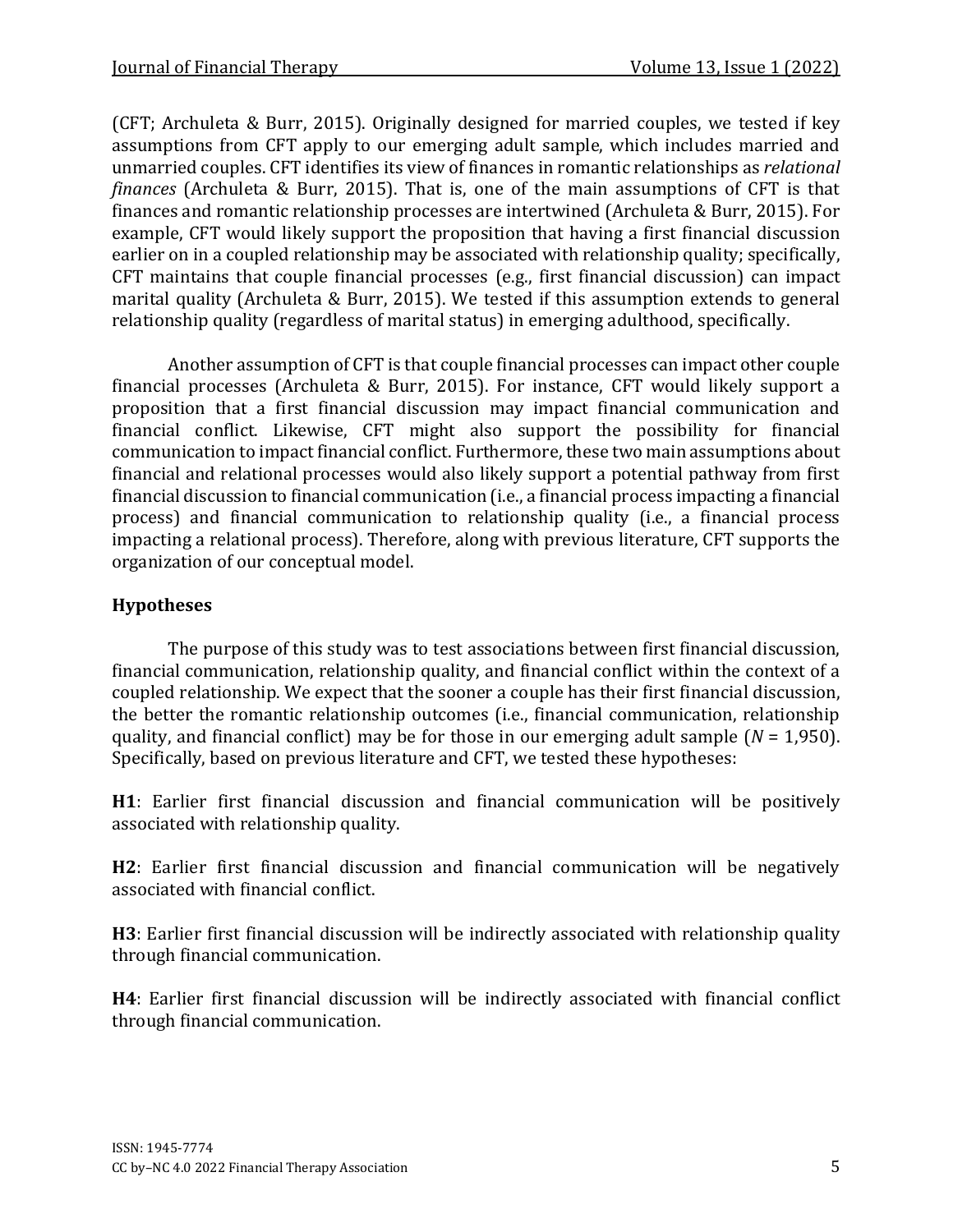(CFT; Archuleta & Burr, 2015). Originally designed for married couples, we tested if key assumptions from CFT apply to our emerging adult sample, which includes married and unmarried couples. CFT identifies its view of finances in romantic relationships as *relational finances* (Archuleta & Burr, 2015). That is, one of the main assumptions of CFT is that finances and romantic relationship processes are intertwined (Archuleta & Burr, 2015). For example, CFT would likely support the proposition that having a first financial discussion earlier on in a coupled relationship may be associated with relationship quality; specifically, CFT maintains that couple financial processes (e.g., first financial discussion) can impact marital quality (Archuleta & Burr, 2015). We tested if this assumption extends to general relationship quality (regardless of marital status) in emerging adulthood, specifically.

Another assumption of CFT is that couple financial processes can impact other couple financial processes (Archuleta & Burr, 2015). For instance, CFT would likely support a proposition that a first financial discussion may impact financial communication and financial conflict. Likewise, CFT might also support the possibility for financial communication to impact financial conflict. Furthermore, these two main assumptions about financial and relational processes would also likely support a potential pathway from first financial discussion to financial communication (i.e., a financial process impacting a financial process) and financial communication to relationship quality (i.e., a financial process impacting a relational process). Therefore, along with previous literature, CFT supports the organization of our conceptual model.

## **Hypotheses**

The purpose of this study was to test associations between first financial discussion, financial communication, relationship quality, and financial conflict within the context of a coupled relationship. We expect that the sooner a couple has their first financial discussion, the better the romantic relationship outcomes (i.e., financial communication, relationship quality, and financial conflict) may be for those in our emerging adult sample (*N* = 1,950). Specifically, based on previous literature and CFT, we tested these hypotheses:

**H1**: Earlier first financial discussion and financial communication will be positively associated with relationship quality.

**H2**: Earlier first financial discussion and financial communication will be negatively associated with financial conflict.

**H3**: Earlier first financial discussion will be indirectly associated with relationship quality through financial communication.

**H4**: Earlier first financial discussion will be indirectly associated with financial conflict through financial communication.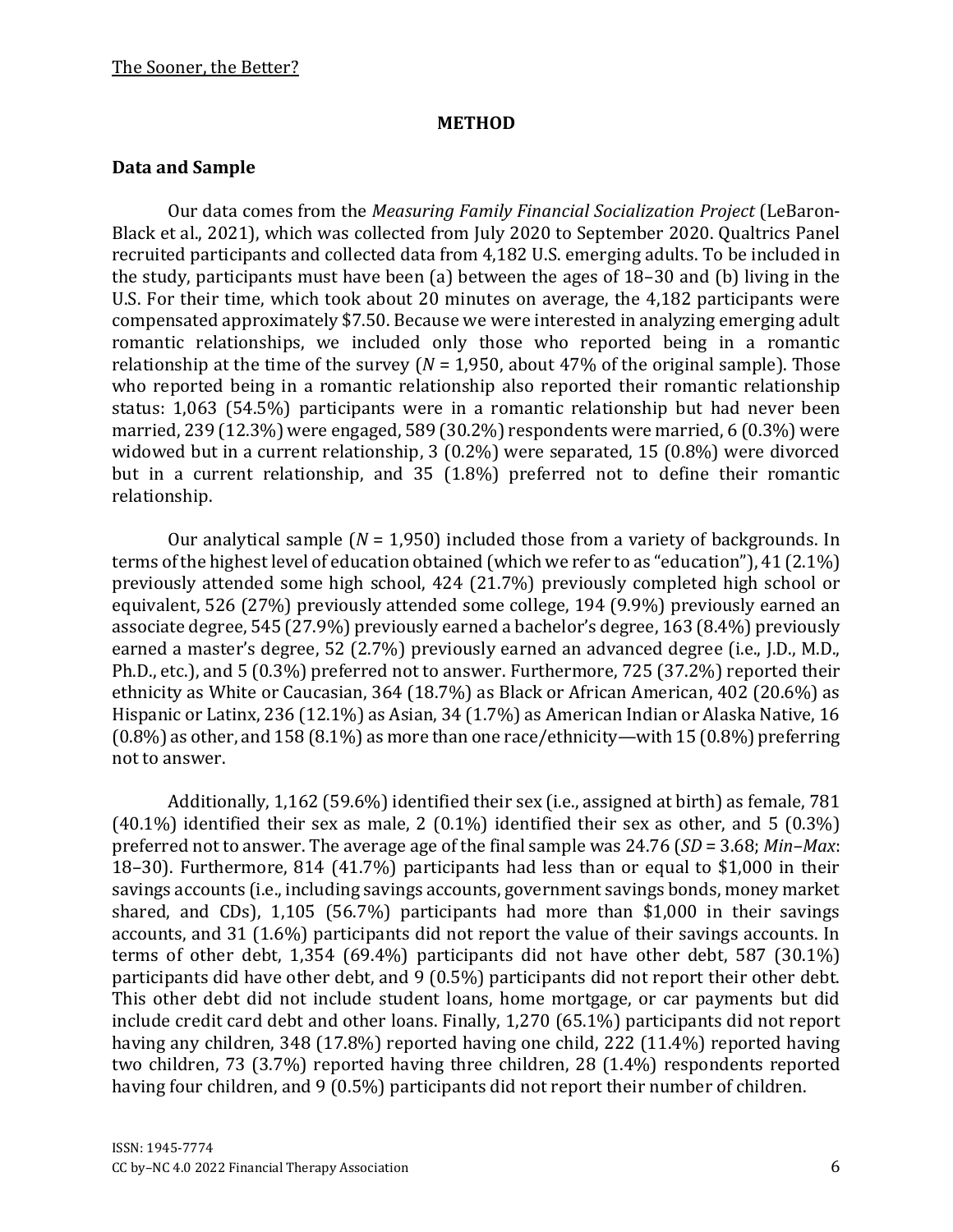#### **METHOD**

#### **Data and Sample**

Our data comes from the *Measuring Family Financial Socialization Project* (LeBaron-Black et al., 2021), which was collected from July 2020 to September 2020. Qualtrics Panel recruited participants and collected data from 4,182 U.S. emerging adults. To be included in the study, participants must have been (a) between the ages of 18–30 and (b) living in the U.S. For their time, which took about 20 minutes on average, the 4,182 participants were compensated approximately \$7.50. Because we were interested in analyzing emerging adult romantic relationships, we included only those who reported being in a romantic relationship at the time of the survey (*N* = 1,950, about 47% of the original sample). Those who reported being in a romantic relationship also reported their romantic relationship status: 1,063 (54.5%) participants were in a romantic relationship but had never been married, 239 (12.3%) were engaged, 589 (30.2%) respondents were married, 6 (0.3%) were widowed but in a current relationship, 3 (0.2%) were separated, 15 (0.8%) were divorced but in a current relationship, and 35 (1.8%) preferred not to define their romantic relationship.

Our analytical sample (*N* = 1,950) included those from a variety of backgrounds. In terms of the highest level of education obtained (which we refer to as "education"), 41 (2.1%) previously attended some high school, 424 (21.7%) previously completed high school or equivalent, 526 (27%) previously attended some college, 194 (9.9%) previously earned an associate degree, 545 (27.9%) previously earned a bachelor's degree, 163 (8.4%) previously earned a master's degree, 52 (2.7%) previously earned an advanced degree (i.e., J.D., M.D., Ph.D., etc.), and 5 (0.3%) preferred not to answer. Furthermore, 725 (37.2%) reported their ethnicity as White or Caucasian, 364 (18.7%) as Black or African American, 402 (20.6%) as Hispanic or Latinx, 236 (12.1%) as Asian, 34 (1.7%) as American Indian or Alaska Native, 16 (0.8%) as other, and 158 (8.1%) as more than one race/ethnicity—with 15 (0.8%) preferring not to answer.

Additionally, 1,162 (59.6%) identified their sex (i.e., assigned at birth) as female, 781  $(40.1\%)$  identified their sex as male, 2  $(0.1\%)$  identified their sex as other, and 5  $(0.3\%)$ preferred not to answer. The average age of the final sample was 24.76 (*SD* = 3.68; *Min–Max*: 18–30). Furthermore, 814 (41.7%) participants had less than or equal to \$1,000 in their savings accounts (i.e., including savings accounts, government savings bonds, money market shared, and CDs), 1,105 (56.7%) participants had more than \$1,000 in their savings accounts, and 31 (1.6%) participants did not report the value of their savings accounts. In terms of other debt, 1,354 (69.4%) participants did not have other debt, 587 (30.1%) participants did have other debt, and 9 (0.5%) participants did not report their other debt. This other debt did not include student loans, home mortgage, or car payments but did include credit card debt and other loans. Finally, 1,270 (65.1%) participants did not report having any children, 348 (17.8%) reported having one child, 222 (11.4%) reported having two children, 73 (3.7%) reported having three children, 28 (1.4%) respondents reported having four children, and 9 (0.5%) participants did not report their number of children.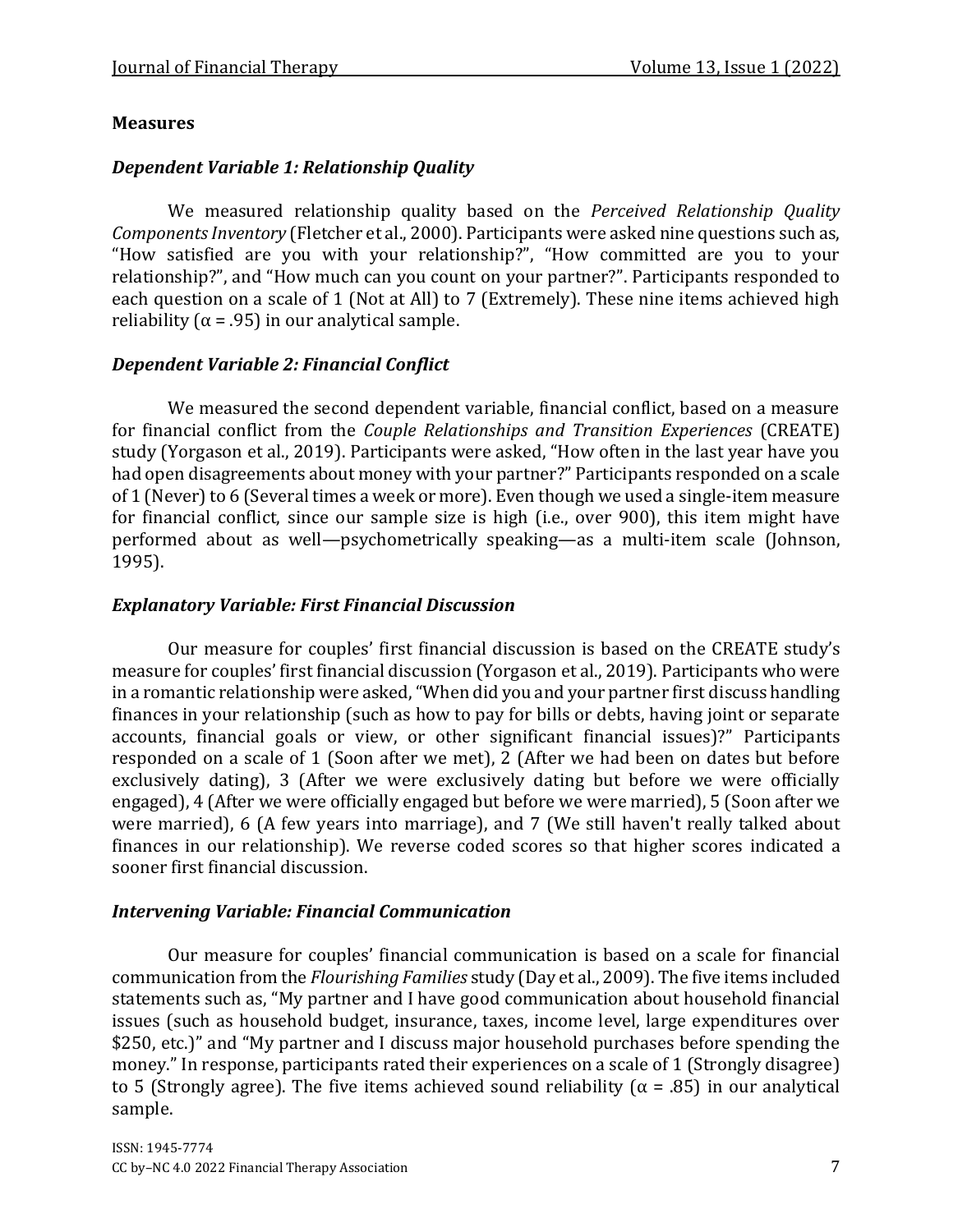#### **Measures**

#### *Dependent Variable 1: Relationship Quality*

We measured relationship quality based on the *Perceived Relationship Quality Components Inventory* (Fletcher et al., 2000). Participants were asked nine questions such as, "How satisfied are you with your relationship?", "How committed are you to your relationship?", and "How much can you count on your partner?". Participants responded to each question on a scale of 1 (Not at All) to 7 (Extremely). These nine items achieved high reliability ( $\alpha$  = .95) in our analytical sample.

#### *Dependent Variable 2: Financial Conflict*

We measured the second dependent variable, financial conflict, based on a measure for financial conflict from the *Couple Relationships and Transition Experiences* (CREATE) study (Yorgason et al., 2019). Participants were asked, "How often in the last year have you had open disagreements about money with your partner?" Participants responded on a scale of 1 (Never) to 6 (Several times a week or more). Even though we used a single-item measure for financial conflict, since our sample size is high (i.e., over 900), this item might have performed about as well—psychometrically speaking—as a multi-item scale (Johnson, 1995).

#### *Explanatory Variable: First Financial Discussion*

Our measure for couples' first financial discussion is based on the CREATE study's measure for couples' first financial discussion (Yorgason et al., 2019). Participants who were in a romantic relationship were asked, "When did you and your partner first discuss handling finances in your relationship (such as how to pay for bills or debts, having joint or separate accounts, financial goals or view, or other significant financial issues)?" Participants responded on a scale of 1 (Soon after we met), 2 (After we had been on dates but before exclusively dating), 3 (After we were exclusively dating but before we were officially engaged), 4 (After we were officially engaged but before we were married), 5 (Soon after we were married), 6 (A few years into marriage), and 7 (We still haven't really talked about finances in our relationship). We reverse coded scores so that higher scores indicated a sooner first financial discussion.

#### *Intervening Variable: Financial Communication*

Our measure for couples' financial communication is based on a scale for financial communication from the *Flourishing Families* study (Day et al., 2009). The five items included statements such as, "My partner and I have good communication about household financial issues (such as household budget, insurance, taxes, income level, large expenditures over \$250, etc.)" and "My partner and I discuss major household purchases before spending the money." In response, participants rated their experiences on a scale of 1 (Strongly disagree) to 5 (Strongly agree). The five items achieved sound reliability ( $\alpha$  = .85) in our analytical sample.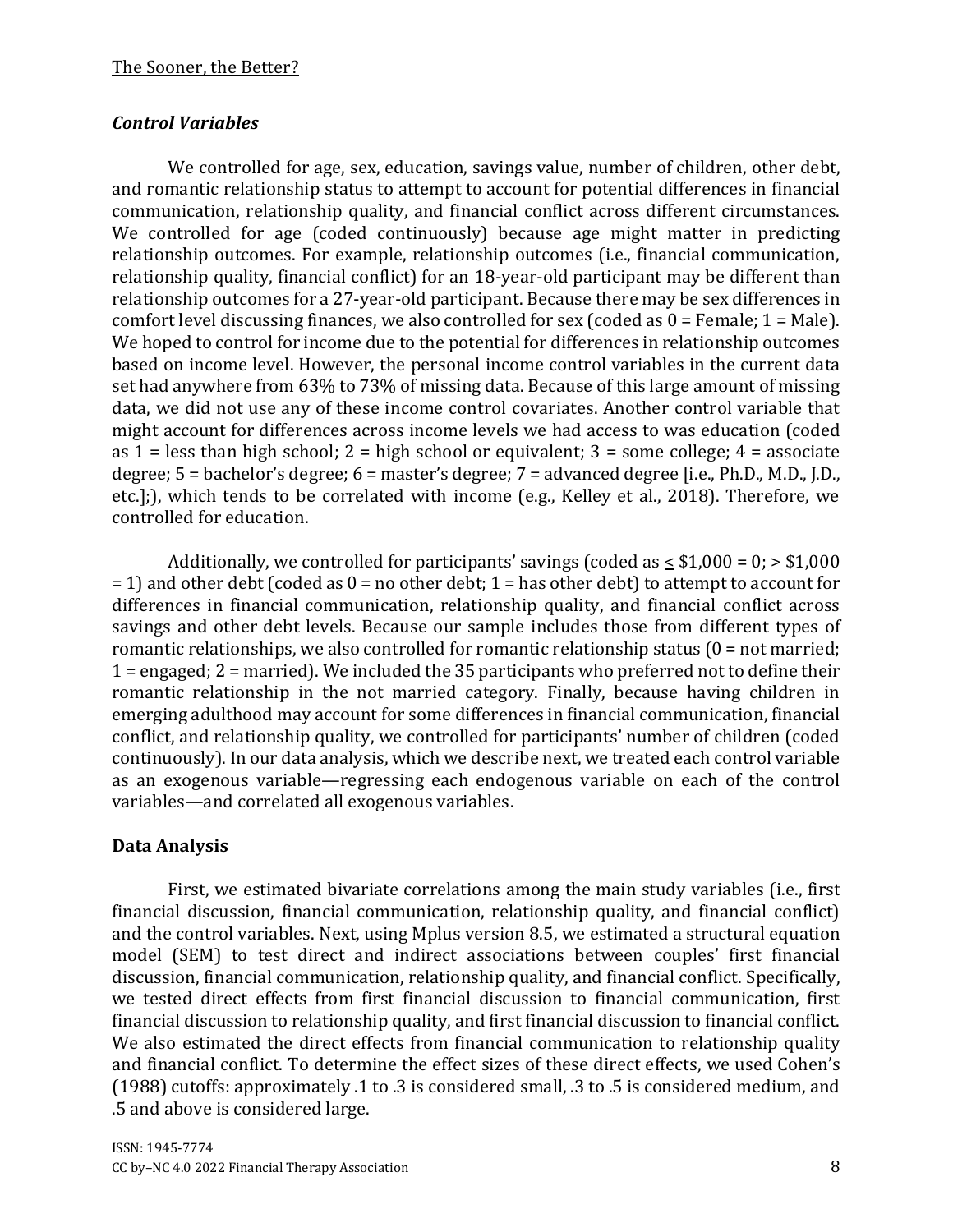## *Control Variables*

We controlled for age, sex, education, savings value, number of children, other debt, and romantic relationship status to attempt to account for potential differences in financial communication, relationship quality, and financial conflict across different circumstances. We controlled for age (coded continuously) because age might matter in predicting relationship outcomes. For example, relationship outcomes (i.e., financial communication, relationship quality, financial conflict) for an 18-year-old participant may be different than relationship outcomes for a 27-year-old participant. Because there may be sex differences in comfort level discussing finances, we also controlled for sex (coded as  $0 =$  Female;  $1 =$  Male). We hoped to control for income due to the potential for differences in relationship outcomes based on income level. However, the personal income control variables in the current data set had anywhere from 63% to 73% of missing data. Because of this large amount of missing data, we did not use any of these income control covariates. Another control variable that might account for differences across income levels we had access to was education (coded as  $1 =$  less than high school;  $2 =$  high school or equivalent;  $3 =$  some college;  $4 =$  associate degree; 5 = bachelor's degree; 6 = master's degree; 7 = advanced degree [i.e., Ph.D., M.D., J.D., etc.];), which tends to be correlated with income (e.g., Kelley et al., 2018). Therefore, we controlled for education.

Additionally, we controlled for participants' savings (coded as  $\leq$  \$1,000 = 0;  $>$  \$1,000  $= 1$ ) and other debt (coded as  $0 =$  no other debt; 1 = has other debt) to attempt to account for differences in financial communication, relationship quality, and financial conflict across savings and other debt levels. Because our sample includes those from different types of romantic relationships, we also controlled for romantic relationship status  $(0 = not married;$ 1 = engaged; 2 = married). We included the 35 participants who preferred not to define their romantic relationship in the not married category. Finally, because having children in emerging adulthood may account for some differences in financial communication, financial conflict, and relationship quality, we controlled for participants' number of children (coded continuously). In our data analysis, which we describe next, we treated each control variable as an exogenous variable—regressing each endogenous variable on each of the control variables—and correlated all exogenous variables.

## **Data Analysis**

First, we estimated bivariate correlations among the main study variables (i.e., first financial discussion, financial communication, relationship quality, and financial conflict) and the control variables. Next, using Mplus version 8.5, we estimated a structural equation model (SEM) to test direct and indirect associations between couples' first financial discussion, financial communication, relationship quality, and financial conflict. Specifically, we tested direct effects from first financial discussion to financial communication, first financial discussion to relationship quality, and first financial discussion to financial conflict. We also estimated the direct effects from financial communication to relationship quality and financial conflict. To determine the effect sizes of these direct effects, we used Cohen's (1988) cutoffs: approximately .1 to .3 is considered small, .3 to .5 is considered medium, and .5 and above is considered large.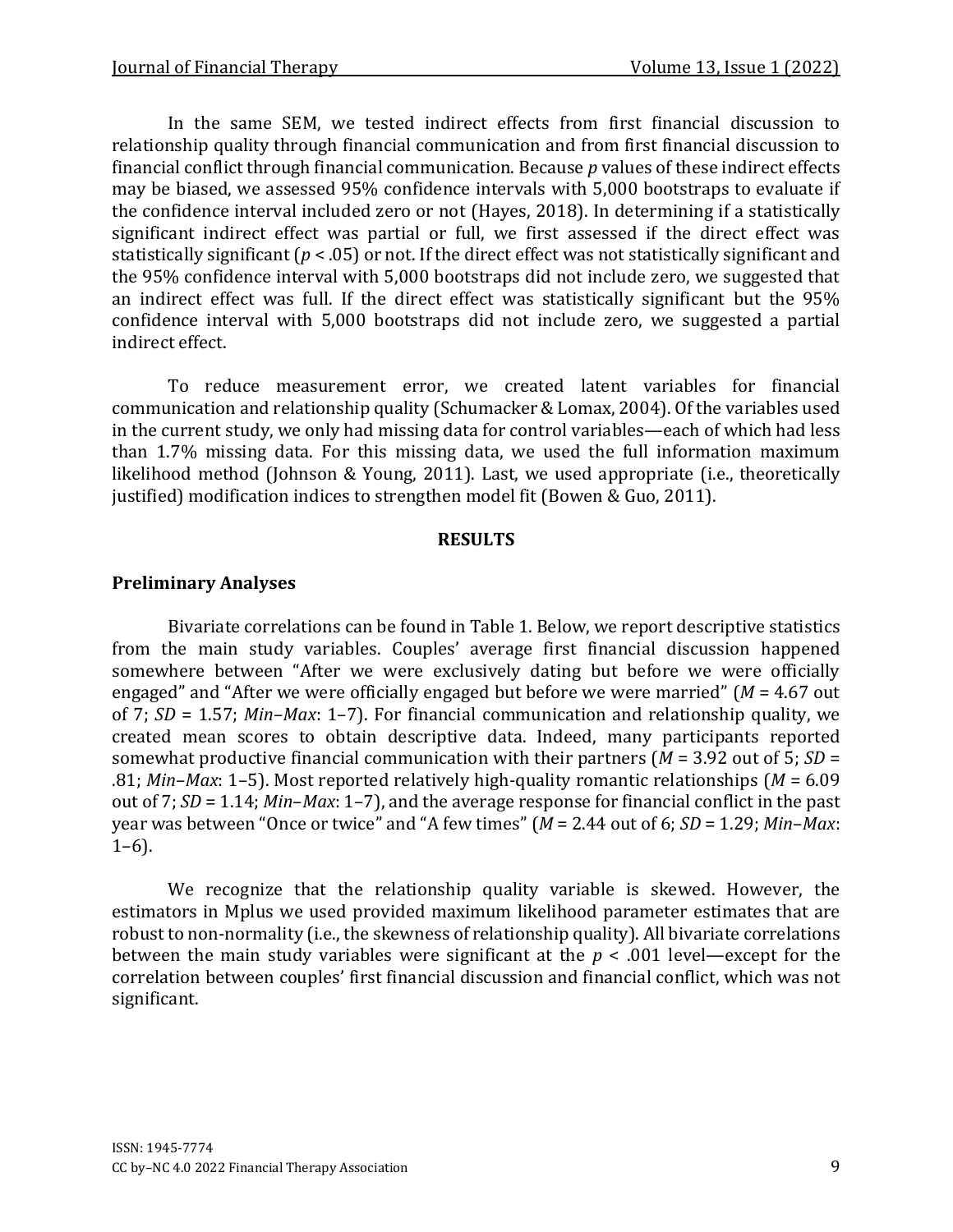In the same SEM, we tested indirect effects from first financial discussion to relationship quality through financial communication and from first financial discussion to financial conflict through financial communication. Because *p* values of these indirect effects may be biased, we assessed 95% confidence intervals with 5,000 bootstraps to evaluate if the confidence interval included zero or not (Hayes, 2018). In determining if a statistically significant indirect effect was partial or full, we first assessed if the direct effect was statistically significant (*p* < .05) or not. If the direct effect was not statistically significant and the 95% confidence interval with 5,000 bootstraps did not include zero, we suggested that an indirect effect was full. If the direct effect was statistically significant but the 95% confidence interval with 5,000 bootstraps did not include zero, we suggested a partial indirect effect.

To reduce measurement error, we created latent variables for financial communication and relationship quality (Schumacker & Lomax, 2004). Of the variables used in the current study, we only had missing data for control variables—each of which had less than 1.7% missing data. For this missing data, we used the full information maximum likelihood method (Johnson & Young, 2011). Last, we used appropriate (i.e., theoretically justified) modification indices to strengthen model fit (Bowen & Guo, 2011).

#### **RESULTS**

## **Preliminary Analyses**

Bivariate correlations can be found in Table 1. Below, we report descriptive statistics from the main study variables. Couples' average first financial discussion happened somewhere between "After we were exclusively dating but before we were officially engaged" and "After we were officially engaged but before we were married" (*M* = 4.67 out of 7; *SD* = 1.57; *Min*–*Max*: 1–7). For financial communication and relationship quality, we created mean scores to obtain descriptive data. Indeed, many participants reported somewhat productive financial communication with their partners (*M* = 3.92 out of 5; *SD* = .81; *Min*–*Max*: 1–5). Most reported relatively high-quality romantic relationships (*M* = 6.09 out of 7; *SD* = 1.14; *Min*–*Max*: 1–7), and the average response for financial conflict in the past year was between "Once or twice" and "A few times" (*M* = 2.44 out of 6; *SD* = 1.29; *Min*–*Max*:  $1-6$ ).

We recognize that the relationship quality variable is skewed. However, the estimators in Mplus we used provided maximum likelihood parameter estimates that are robust to non-normality (i.e., the skewness of relationship quality). All bivariate correlations between the main study variables were significant at the *p* < .001 level—except for the correlation between couples' first financial discussion and financial conflict, which was not significant.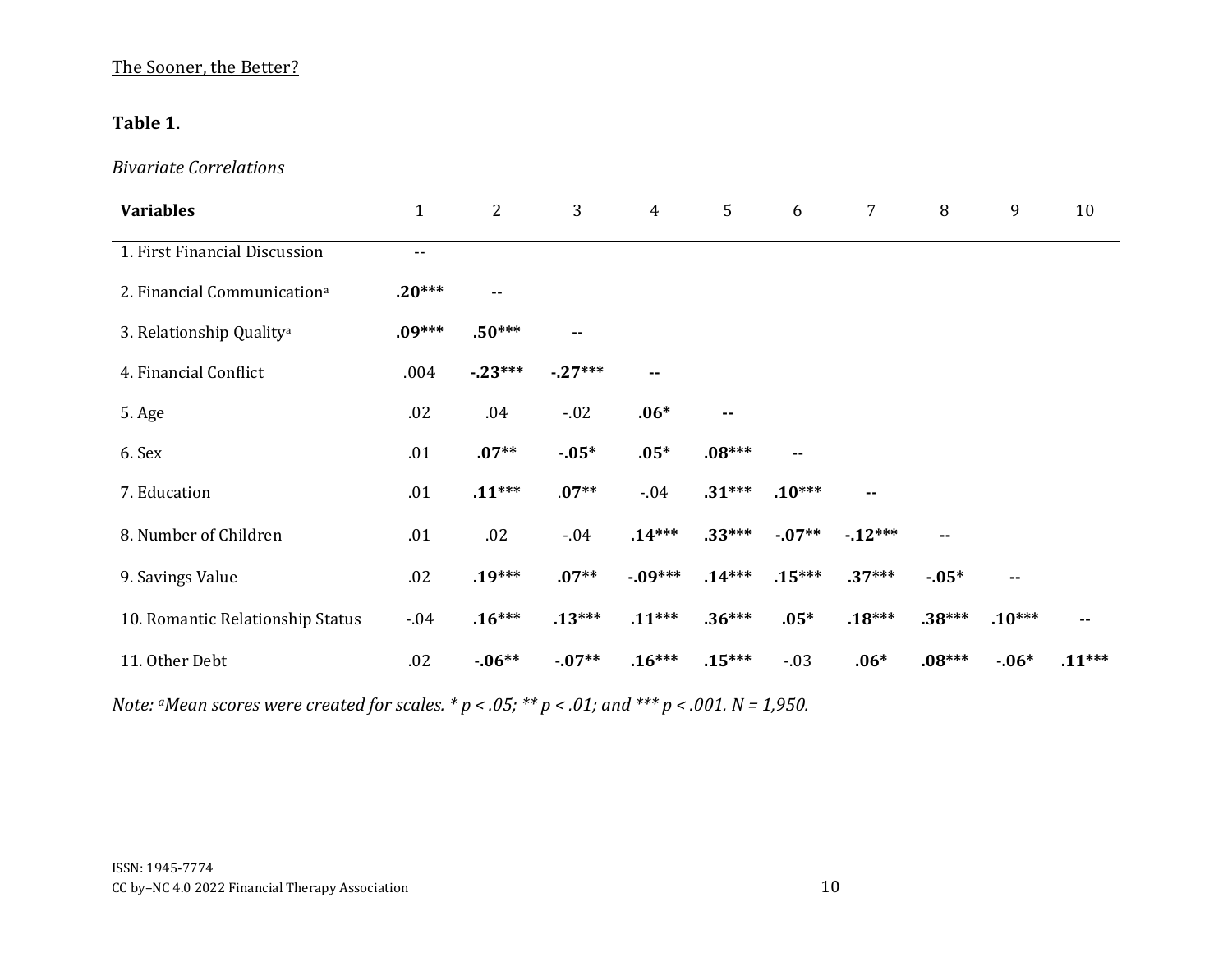## The Sooner, the Better?

## **Table 1.**

## *Bivariate Correlations*

| <b>Variables</b>                        | $\mathbf{1}$      | $\overline{2}$           | 3        | 4        | 5             | 6        | $\overline{7}$ | 8             | 9             | 10       |
|-----------------------------------------|-------------------|--------------------------|----------|----------|---------------|----------|----------------|---------------|---------------|----------|
| 1. First Financial Discussion           | $\qquad \qquad -$ |                          |          |          |               |          |                |               |               |          |
| 2. Financial Communication <sup>a</sup> | $.20***$          | $\overline{\phantom{a}}$ |          |          |               |          |                |               |               |          |
| 3. Relationship Quality <sup>a</sup>    | $.09***$          | $.50***$                 | ۰.       |          |               |          |                |               |               |          |
| 4. Financial Conflict                   | .004              | $-23***$                 | $-27***$ |          |               |          |                |               |               |          |
| 5. Age                                  | .02               | .04                      | $-.02$   | $.06*$   | $\sim$ $\sim$ |          |                |               |               |          |
| 6. Sex                                  | .01               | $.07**$                  | $-05*$   | $.05*$   | $.08***$      | $\sim$   |                |               |               |          |
| 7. Education                            | .01               | $.11***$                 | $.07**$  | $-0.04$  | $.31***$      | $.10***$ | ۰.             |               |               |          |
| 8. Number of Children                   | .01               | .02                      | $-.04$   | $.14***$ | $.33***$      | $-07**$  | $-12***$       | $\sim$ $\sim$ |               |          |
| 9. Savings Value                        | .02               | $.19***$                 | $.07**$  | $-09***$ | $.14***$      | $.15***$ | $.37***$       | $-05*$        | $\sim$ $\sim$ |          |
| 10. Romantic Relationship Status        | $-.04$            | $.16***$                 | $.13***$ | $.11***$ | $.36***$      | $.05*$   | $.18***$       | $.38***$      | $.10***$      |          |
| 11. Other Debt                          | .02               | $-06**$                  | $-07**$  | $.16***$ | $.15***$      | $-.03$   | $.06*$         | $.08***$      | $-06*$        | $.11***$ |

*Note: <sup><i>a</sup>Mean scores were created for scales.*  $* p < .05; ** p < .01;$  and  $*** p < .001$ .  $N = 1,950$ .</sup>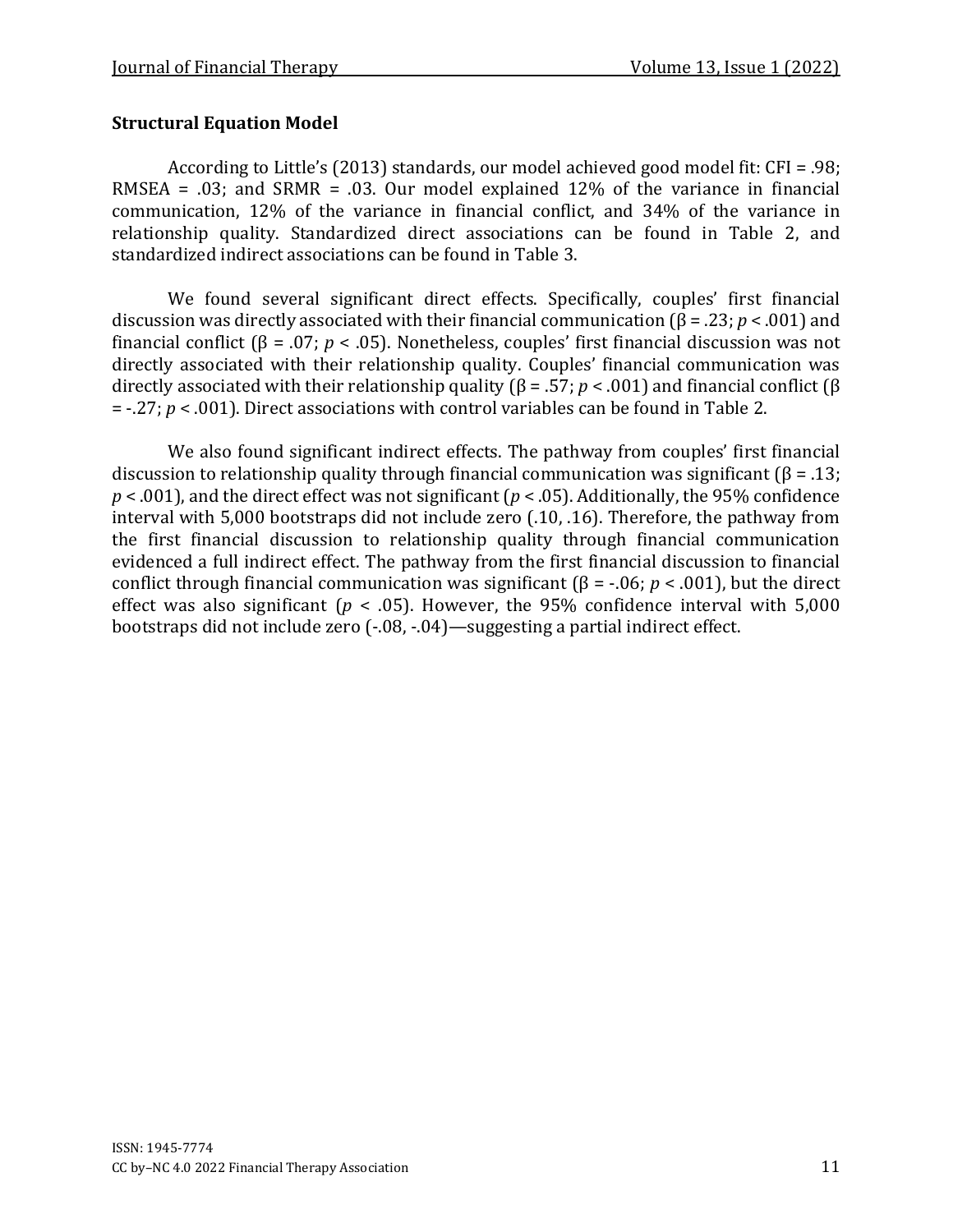## **Structural Equation Model**

According to Little's (2013) standards, our model achieved good model fit: CFI = .98; RMSEA = .03; and SRMR = .03. Our model explained 12% of the variance in financial communication, 12% of the variance in financial conflict, and 34% of the variance in relationship quality. Standardized direct associations can be found in Table 2, and standardized indirect associations can be found in Table 3.

We found several significant direct effects. Specifically, couples' first financial discussion was directly associated with their financial communication (β = .23; *p* < .001) and financial conflict (β = .07; *p* < .05). Nonetheless, couples' first financial discussion was not directly associated with their relationship quality. Couples' financial communication was directly associated with their relationship quality (β = .57; *p* < .001) and financial conflict (β = -.27; *p* < .001). Direct associations with control variables can be found in Table 2.

We also found significant indirect effects. The pathway from couples' first financial discussion to relationship quality through financial communication was significant ( $\beta$  = .13; *p* < .001), and the direct effect was not significant (*p* < .05). Additionally, the 95% confidence interval with 5,000 bootstraps did not include zero (.10, .16). Therefore, the pathway from the first financial discussion to relationship quality through financial communication evidenced a full indirect effect. The pathway from the first financial discussion to financial conflict through financial communication was significant (β = -.06; *p* < .001), but the direct effect was also significant ( $p < .05$ ). However, the 95% confidence interval with 5,000 bootstraps did not include zero (-.08, -.04)—suggesting a partial indirect effect.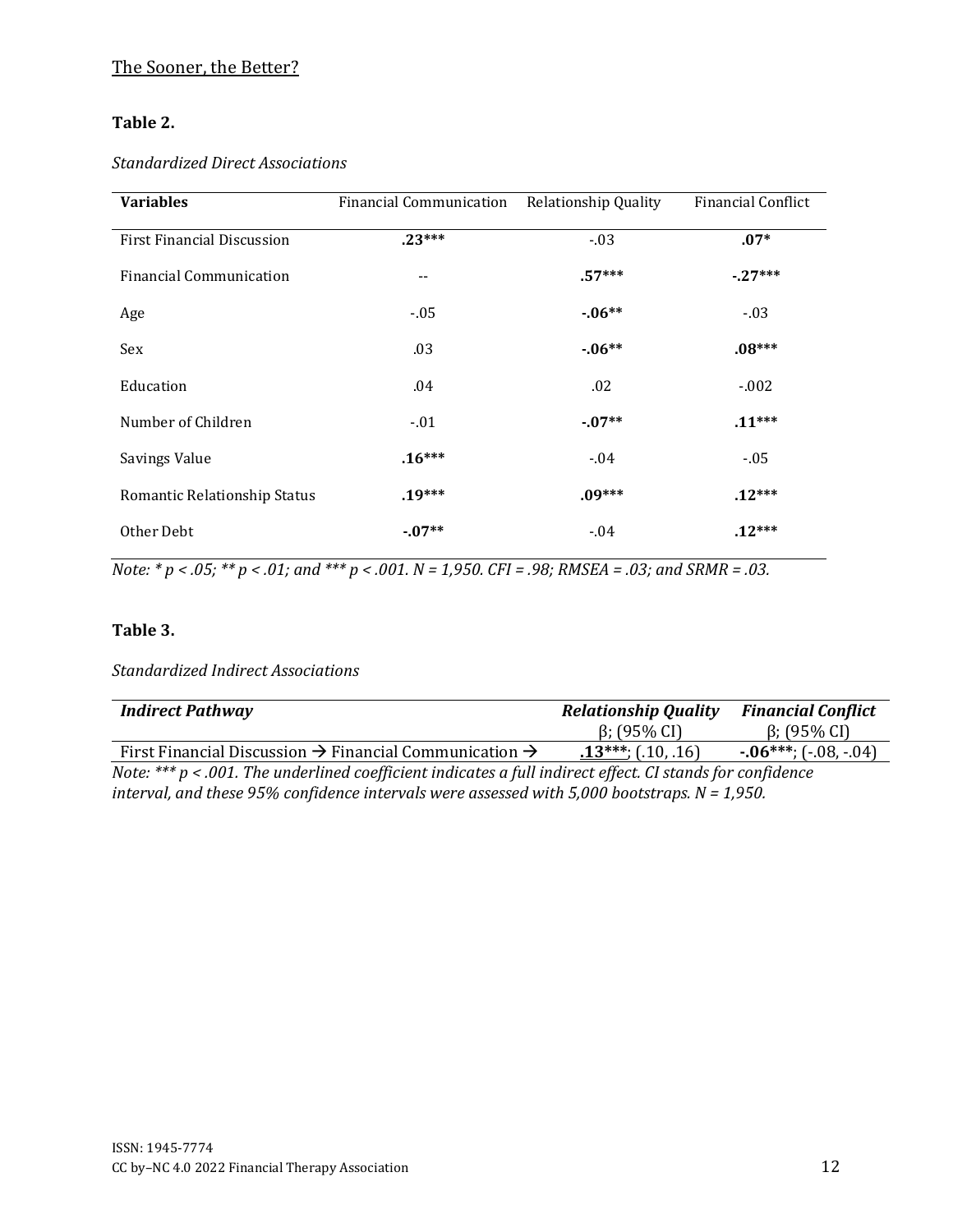## The Sooner, the Better?

#### **Table 2.**

#### *Standardized Direct Associations*

| <b>Variables</b>                  | <b>Financial Communication</b> | Relationship Quality | <b>Financial Conflict</b> |
|-----------------------------------|--------------------------------|----------------------|---------------------------|
| <b>First Financial Discussion</b> | $.23***$                       | $-03$                | $.07*$                    |
| <b>Financial Communication</b>    | --                             | $.57***$             | $-27***$                  |
| Age                               | $-.05$                         | $-06**$              | $-.03$                    |
| Sex                               | .03                            | $-06**$              | $.08***$                  |
| Education                         | .04                            | .02                  | $-.002$                   |
| Number of Children                | $-01$                          | $-07**$              | $.11***$                  |
| Savings Value                     | $.16***$                       | $-0.04$              | $-0.05$                   |
| Romantic Relationship Status      | $.19***$                       | $.09***$             | $.12***$                  |
| Other Debt                        | $-07**$                        | $-04$                | $.12***$                  |

*Note: \* p < .05; \*\* p < .01; and \*\*\* p < .001. N = 1,950. CFI = .98; RMSEA = .03; and SRMR = .03.*

#### **Table 3.**

*Standardized Indirect Associations* 

| <b>Indirect Pathway</b>                                                                                     | <b>Relationship Quality</b> | <b>Financial Conflict</b> |  |  |  |
|-------------------------------------------------------------------------------------------------------------|-----------------------------|---------------------------|--|--|--|
|                                                                                                             | $\beta$ ; (95% CI)          | $\beta$ ; (95% CI)        |  |  |  |
| First Financial Discussion $\rightarrow$ Financial Communication $\rightarrow$                              | $.13***$ ; (.10, .16)       | $-06***$ ; $(-08,-04)$    |  |  |  |
| Note: *** $p$ < .001. The underlined coefficient indicates a full indirect effect. CI stands for confidence |                             |                           |  |  |  |
| interval, and these 95% confidence intervals were assessed with 5,000 bootstraps. $N = 1,950$ .             |                             |                           |  |  |  |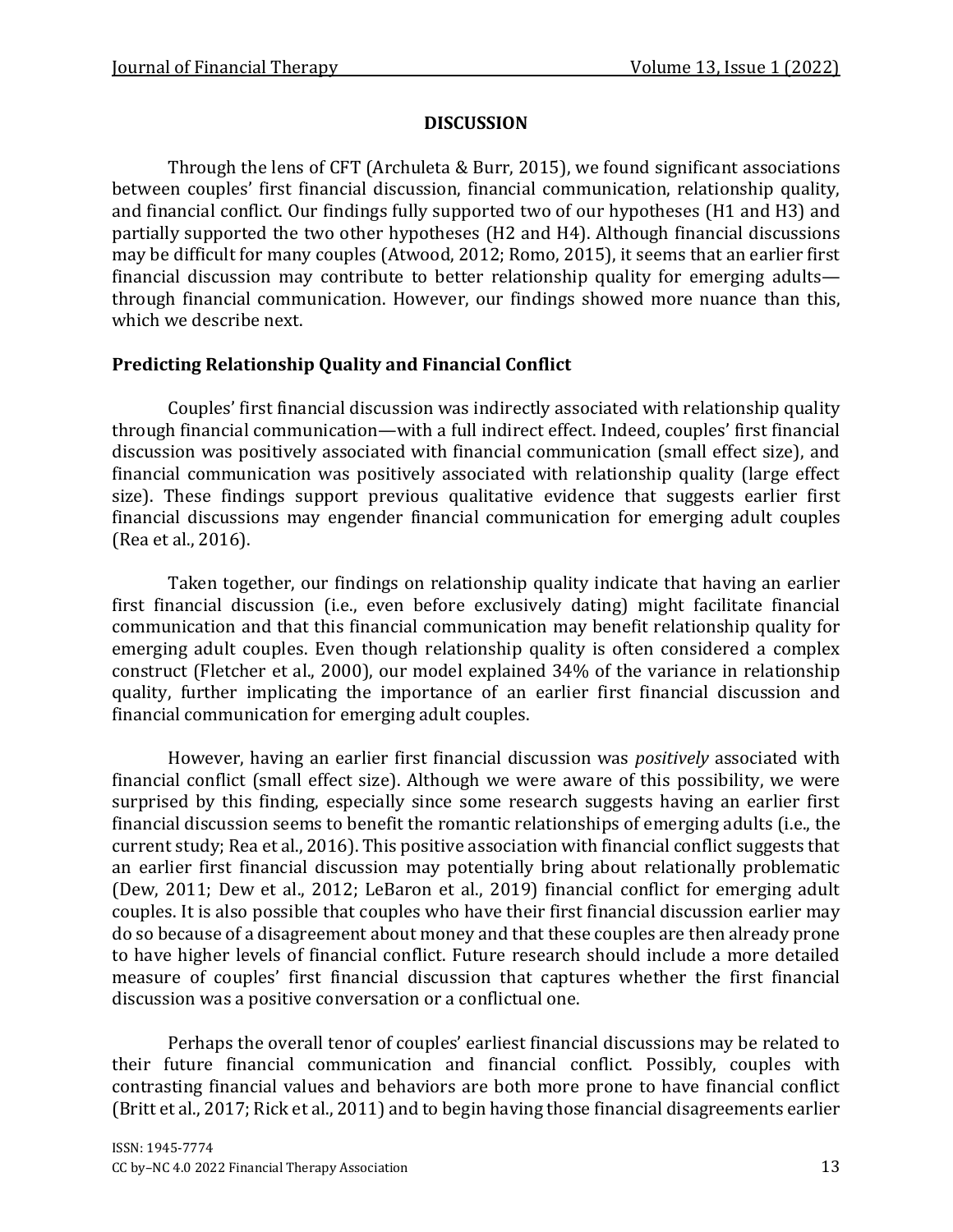## **DISCUSSION**

Through the lens of CFT (Archuleta & Burr, 2015), we found significant associations between couples' first financial discussion, financial communication, relationship quality, and financial conflict. Our findings fully supported two of our hypotheses (H1 and H3) and partially supported the two other hypotheses (H2 and H4). Although financial discussions may be difficult for many couples (Atwood, 2012; Romo, 2015), it seems that an earlier first financial discussion may contribute to better relationship quality for emerging adults through financial communication. However, our findings showed more nuance than this, which we describe next.

## **Predicting Relationship Quality and Financial Conflict**

Couples' first financial discussion was indirectly associated with relationship quality through financial communication—with a full indirect effect. Indeed, couples' first financial discussion was positively associated with financial communication (small effect size), and financial communication was positively associated with relationship quality (large effect size). These findings support previous qualitative evidence that suggests earlier first financial discussions may engender financial communication for emerging adult couples (Rea et al., 2016).

Taken together, our findings on relationship quality indicate that having an earlier first financial discussion (i.e., even before exclusively dating) might facilitate financial communication and that this financial communication may benefit relationship quality for emerging adult couples. Even though relationship quality is often considered a complex construct (Fletcher et al., 2000), our model explained 34% of the variance in relationship quality, further implicating the importance of an earlier first financial discussion and financial communication for emerging adult couples.

However, having an earlier first financial discussion was *positively* associated with financial conflict (small effect size). Although we were aware of this possibility, we were surprised by this finding, especially since some research suggests having an earlier first financial discussion seems to benefit the romantic relationships of emerging adults (i.e., the current study; Rea et al., 2016). This positive association with financial conflict suggests that an earlier first financial discussion may potentially bring about relationally problematic (Dew, 2011; Dew et al., 2012; LeBaron et al., 2019) financial conflict for emerging adult couples. It is also possible that couples who have their first financial discussion earlier may do so because of a disagreement about money and that these couples are then already prone to have higher levels of financial conflict. Future research should include a more detailed measure of couples' first financial discussion that captures whether the first financial discussion was a positive conversation or a conflictual one.

Perhaps the overall tenor of couples' earliest financial discussions may be related to their future financial communication and financial conflict. Possibly, couples with contrasting financial values and behaviors are both more prone to have financial conflict (Britt et al., 2017; Rick et al., 2011) and to begin having those financial disagreements earlier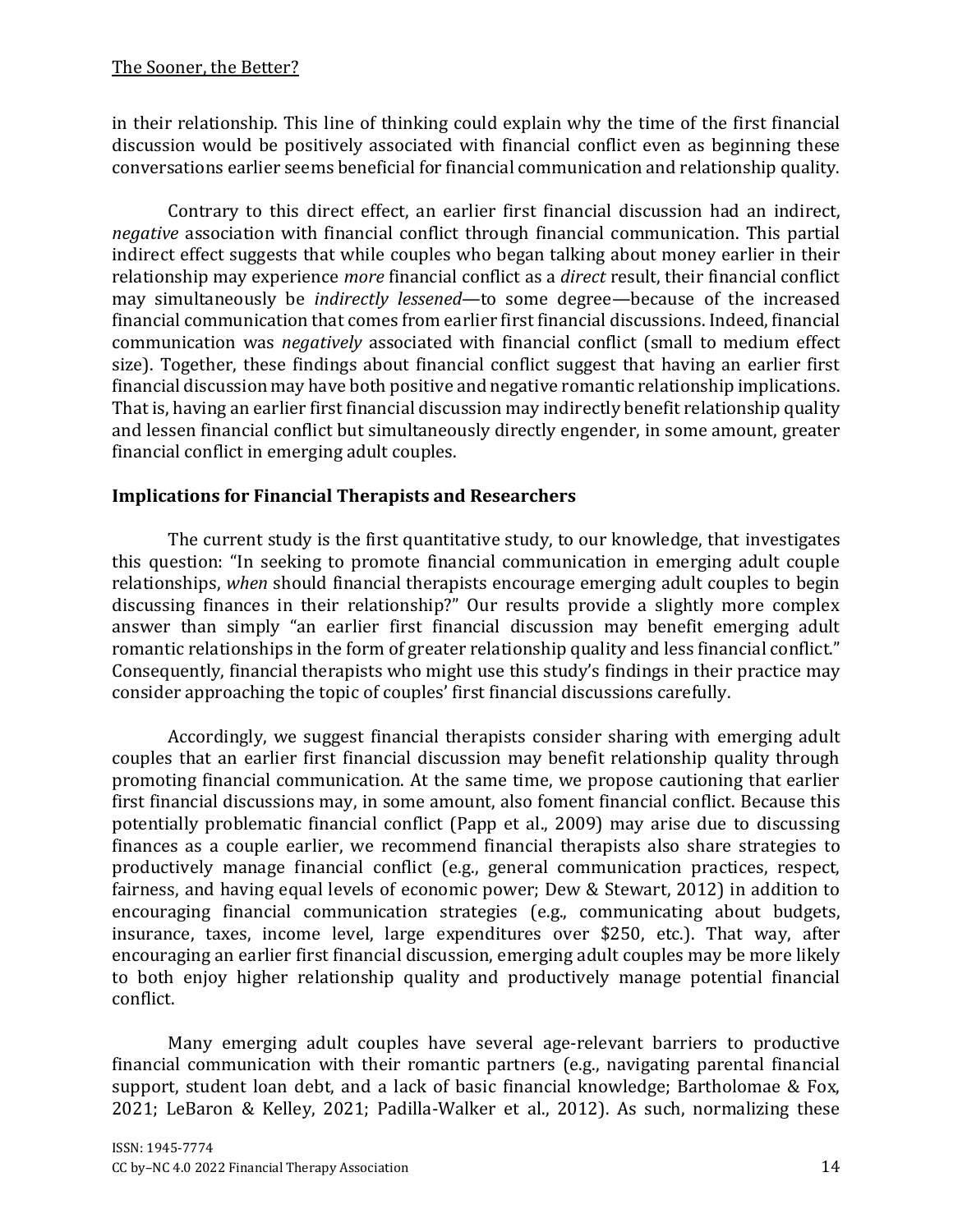in their relationship. This line of thinking could explain why the time of the first financial discussion would be positively associated with financial conflict even as beginning these conversations earlier seems beneficial for financial communication and relationship quality.

Contrary to this direct effect, an earlier first financial discussion had an indirect, *negative* association with financial conflict through financial communication. This partial indirect effect suggests that while couples who began talking about money earlier in their relationship may experience *more* financial conflict as a *direct* result, their financial conflict may simultaneously be *indirectly lessened*—to some degree—because of the increased financial communication that comes from earlier first financial discussions. Indeed, financial communication was *negatively* associated with financial conflict (small to medium effect size). Together, these findings about financial conflict suggest that having an earlier first financial discussion may have both positive and negative romantic relationship implications. That is, having an earlier first financial discussion may indirectly benefit relationship quality and lessen financial conflict but simultaneously directly engender, in some amount, greater financial conflict in emerging adult couples.

## **Implications for Financial Therapists and Researchers**

The current study is the first quantitative study, to our knowledge, that investigates this question: "In seeking to promote financial communication in emerging adult couple relationships, *when* should financial therapists encourage emerging adult couples to begin discussing finances in their relationship?" Our results provide a slightly more complex answer than simply "an earlier first financial discussion may benefit emerging adult romantic relationships in the form of greater relationship quality and less financial conflict." Consequently, financial therapists who might use this study's findings in their practice may consider approaching the topic of couples' first financial discussions carefully.

Accordingly, we suggest financial therapists consider sharing with emerging adult couples that an earlier first financial discussion may benefit relationship quality through promoting financial communication. At the same time, we propose cautioning that earlier first financial discussions may, in some amount, also foment financial conflict. Because this potentially problematic financial conflict (Papp et al., 2009) may arise due to discussing finances as a couple earlier, we recommend financial therapists also share strategies to productively manage financial conflict (e.g., general communication practices, respect, fairness, and having equal levels of economic power; Dew & Stewart, 2012) in addition to encouraging financial communication strategies (e.g., communicating about budgets, insurance, taxes, income level, large expenditures over \$250, etc.). That way, after encouraging an earlier first financial discussion, emerging adult couples may be more likely to both enjoy higher relationship quality and productively manage potential financial conflict.

Many emerging adult couples have several age-relevant barriers to productive financial communication with their romantic partners (e.g., navigating parental financial support, student loan debt, and a lack of basic financial knowledge; Bartholomae & Fox, 2021; LeBaron & Kelley, 2021; Padilla-Walker et al., 2012). As such, normalizing these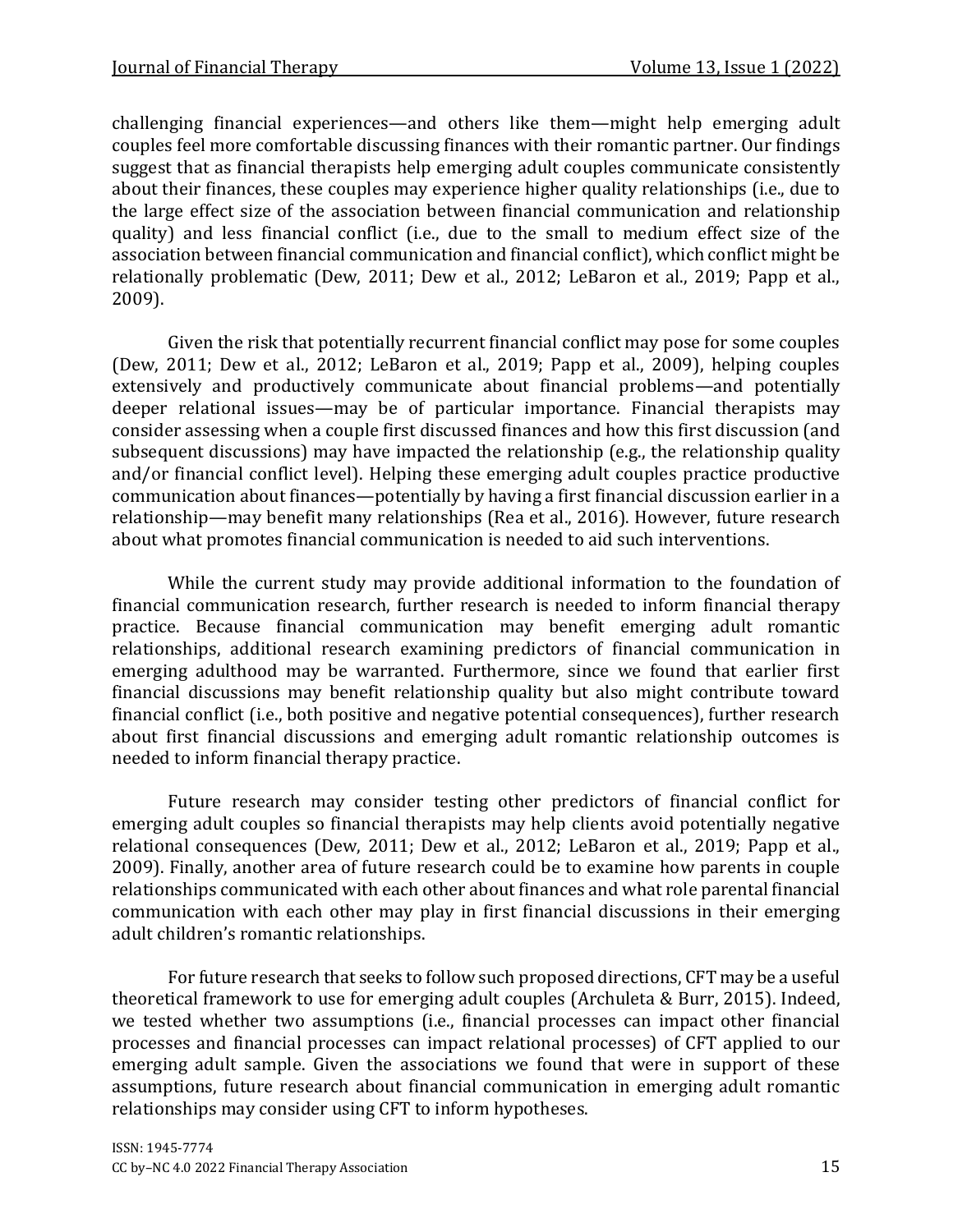challenging financial experiences—and others like them—might help emerging adult couples feel more comfortable discussing finances with their romantic partner. Our findings suggest that as financial therapists help emerging adult couples communicate consistently about their finances, these couples may experience higher quality relationships (i.e., due to the large effect size of the association between financial communication and relationship quality) and less financial conflict (i.e., due to the small to medium effect size of the association between financial communication and financial conflict), which conflict might be relationally problematic (Dew, 2011; Dew et al., 2012; LeBaron et al., 2019; Papp et al., 2009).

Given the risk that potentially recurrent financial conflict may pose for some couples (Dew, 2011; Dew et al., 2012; LeBaron et al., 2019; Papp et al., 2009), helping couples extensively and productively communicate about financial problems—and potentially deeper relational issues—may be of particular importance. Financial therapists may consider assessing when a couple first discussed finances and how this first discussion (and subsequent discussions) may have impacted the relationship (e.g., the relationship quality and/or financial conflict level). Helping these emerging adult couples practice productive communication about finances—potentially by having a first financial discussion earlier in a relationship—may benefit many relationships (Rea et al., 2016). However, future research about what promotes financial communication is needed to aid such interventions.

While the current study may provide additional information to the foundation of financial communication research, further research is needed to inform financial therapy practice. Because financial communication may benefit emerging adult romantic relationships, additional research examining predictors of financial communication in emerging adulthood may be warranted. Furthermore, since we found that earlier first financial discussions may benefit relationship quality but also might contribute toward financial conflict (i.e., both positive and negative potential consequences), further research about first financial discussions and emerging adult romantic relationship outcomes is needed to inform financial therapy practice.

Future research may consider testing other predictors of financial conflict for emerging adult couples so financial therapists may help clients avoid potentially negative relational consequences (Dew, 2011; Dew et al., 2012; LeBaron et al., 2019; Papp et al., 2009). Finally, another area of future research could be to examine how parents in couple relationships communicated with each other about finances and what role parental financial communication with each other may play in first financial discussions in their emerging adult children's romantic relationships.

For future research that seeks to follow such proposed directions, CFT may be a useful theoretical framework to use for emerging adult couples (Archuleta & Burr, 2015). Indeed, we tested whether two assumptions (i.e., financial processes can impact other financial processes and financial processes can impact relational processes) of CFT applied to our emerging adult sample. Given the associations we found that were in support of these assumptions, future research about financial communication in emerging adult romantic relationships may consider using CFT to inform hypotheses.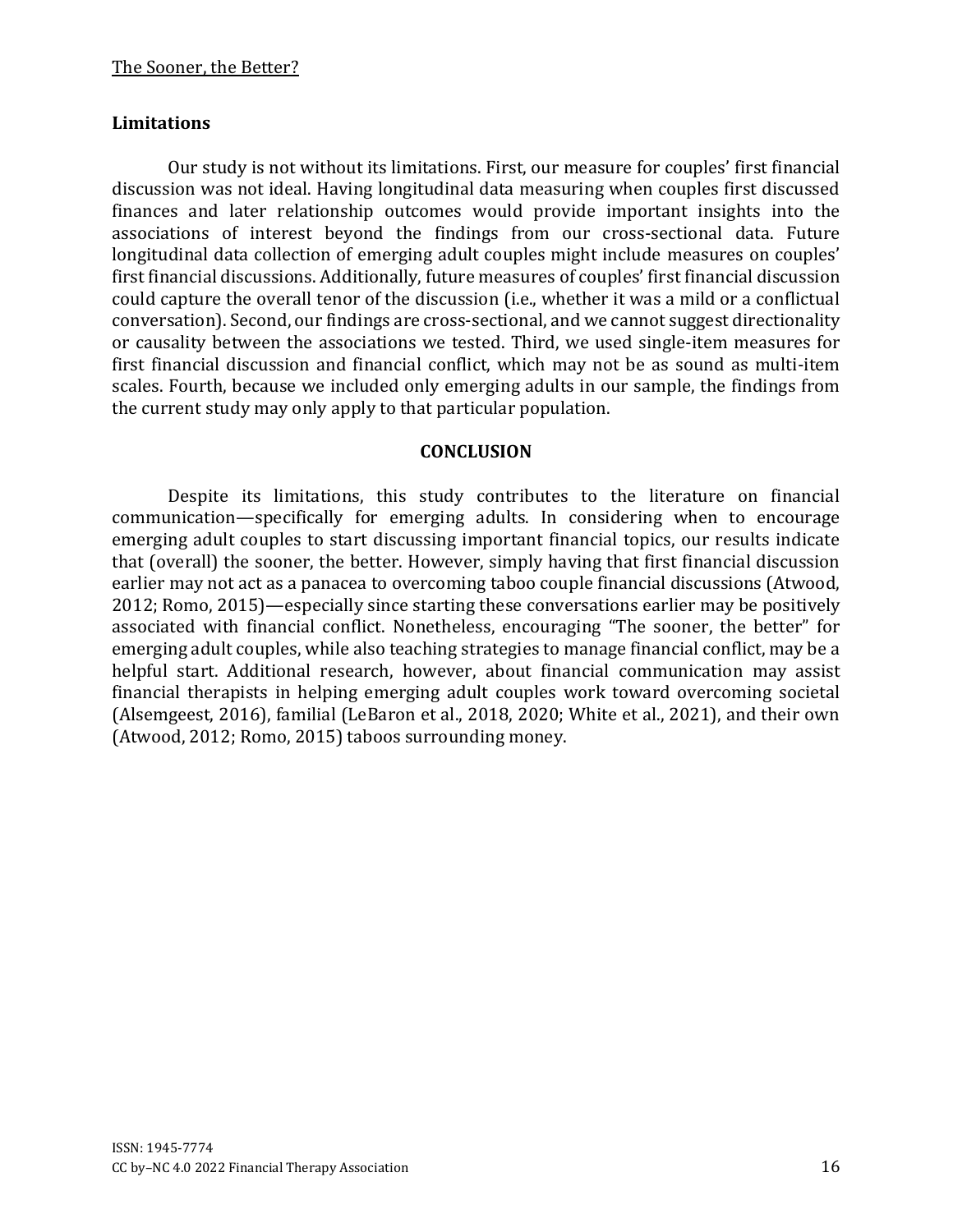#### **Limitations**

Our study is not without its limitations. First, our measure for couples' first financial discussion was not ideal. Having longitudinal data measuring when couples first discussed finances and later relationship outcomes would provide important insights into the associations of interest beyond the findings from our cross-sectional data. Future longitudinal data collection of emerging adult couples might include measures on couples' first financial discussions. Additionally, future measures of couples' first financial discussion could capture the overall tenor of the discussion (i.e., whether it was a mild or a conflictual conversation). Second, our findings are cross-sectional, and we cannot suggest directionality or causality between the associations we tested. Third, we used single-item measures for first financial discussion and financial conflict, which may not be as sound as multi-item scales. Fourth, because we included only emerging adults in our sample, the findings from the current study may only apply to that particular population.

#### **CONCLUSION**

Despite its limitations, this study contributes to the literature on financial communication—specifically for emerging adults. In considering when to encourage emerging adult couples to start discussing important financial topics, our results indicate that (overall) the sooner, the better. However, simply having that first financial discussion earlier may not act as a panacea to overcoming taboo couple financial discussions (Atwood, 2012; Romo, 2015)—especially since starting these conversations earlier may be positively associated with financial conflict. Nonetheless, encouraging "The sooner, the better" for emerging adult couples, while also teaching strategies to manage financial conflict, may be a helpful start. Additional research, however, about financial communication may assist financial therapists in helping emerging adult couples work toward overcoming societal (Alsemgeest, 2016), familial (LeBaron et al., 2018, 2020; White et al., 2021), and their own (Atwood, 2012; Romo, 2015) taboos surrounding money.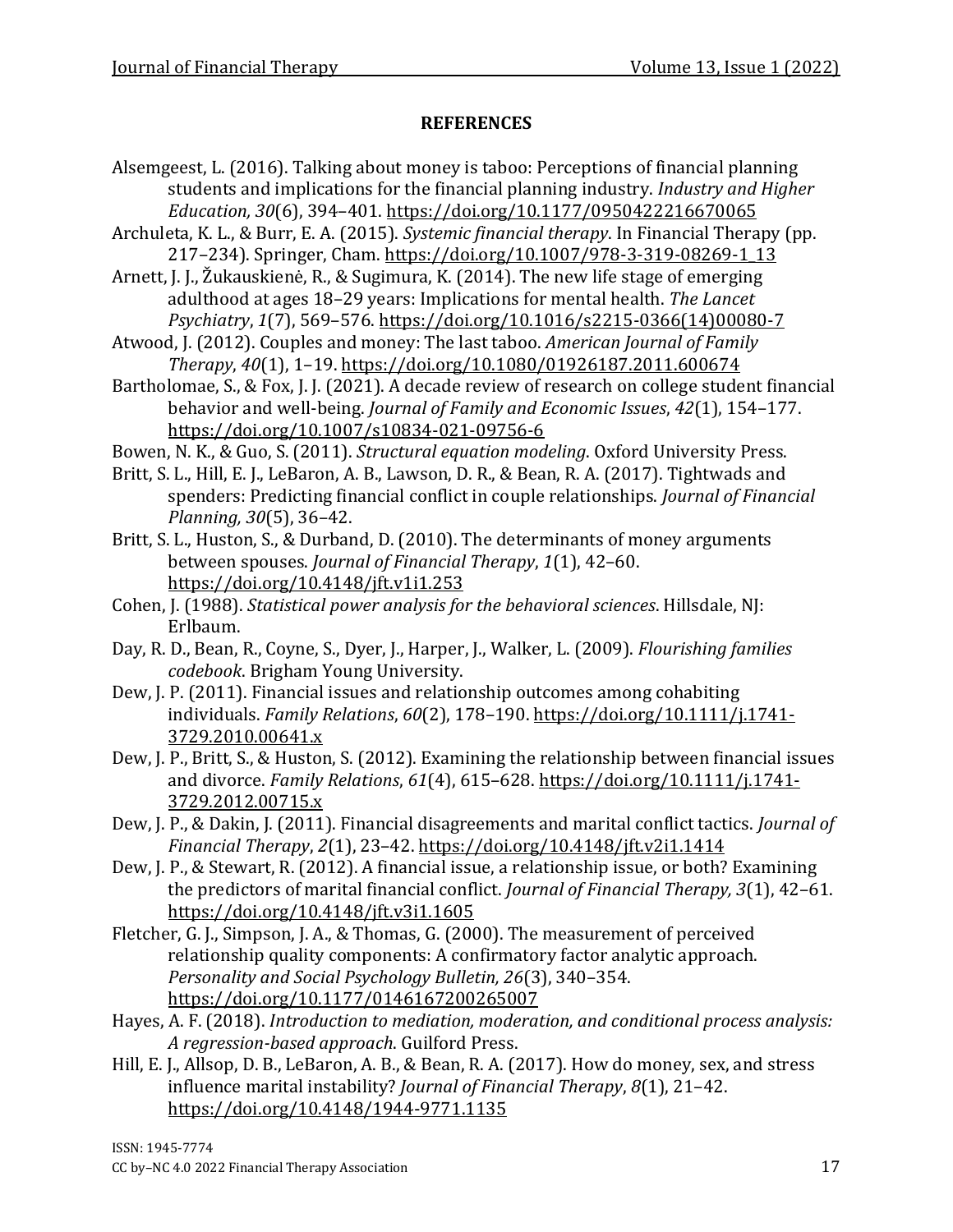#### **REFERENCES**

- Alsemgeest, L. (2016). Talking about money is taboo: Perceptions of financial planning students and implications for the financial planning industry. *Industry and Higher Education, 30*(6), 394–401.<https://doi.org/10.1177/0950422216670065>
- Archuleta, K. L., & Burr, E. A. (2015). *Systemic financial therapy*. In Financial Therapy (pp. 217-234). Springer, Cham. [https://doi.org/10.1007/978-3-319-08269-1\\_13](https://doi.org/10.1007/978-3-319-08269-1_13)
- Arnett, J. J., Žukauskienė, R., & Sugimura, K. (2014). The new life stage of emerging adulthood at ages 18–29 years: Implications for mental health. *The Lancet Psychiatry*, *1*(7), 569–576. [https://doi.org/10.1016/s2215-0366\(14\)00080-7](https://doi.org/10.1016/s2215-0366(14)00080-7)
- Atwood, J. (2012). Couples and money: The last taboo. *American Journal of Family Therapy*, *40*(1), 1–19.<https://doi.org/10.1080/01926187.2011.600674>
- Bartholomae, S., & Fox, J. J. (2021). A decade review of research on college student financial behavior and well-being. *Journal of Family and Economic Issues*, *42*(1), 154–177. <https://doi.org/10.1007/s10834-021-09756-6>
- Bowen, N. K., & Guo, S. (2011). *Structural equation modeling*. Oxford University Press.
- Britt, S. L., Hill, E. J., LeBaron, A. B., Lawson, D. R., & Bean, R. A. (2017). Tightwads and spenders: Predicting financial conflict in couple relationships. *Journal of Financial Planning, 30*(5), 36–42.
- Britt, S. L., Huston, S., & Durband, D. (2010). The determinants of money arguments between spouses. *Journal of Financial Therapy*, *1*(1), 42–60. <https://doi.org/10.4148/jft.v1i1.253>
- Cohen, J. (1988). *Statistical power analysis for the behavioral sciences*. Hillsdale, NJ: Erlbaum.
- Day, R. D., Bean, R., Coyne, S., Dyer, J., Harper, J., Walker, L. (2009). *Flourishing families codebook*. Brigham Young University.
- Dew, J. P. (2011). Financial issues and relationship outcomes among cohabiting individuals. *Family Relations*, *60*(2), 178–190. [https://doi.org/10.1111/j.1741-](https://doi.org/10.1111/j.1741-3729.2010.00641.x) [3729.2010.00641.x](https://doi.org/10.1111/j.1741-3729.2010.00641.x)
- Dew, J. P., Britt, S., & Huston, S. (2012). Examining the relationship between financial issues and divorce. *Family Relations*, *61*(4), 615–628. [https://doi.org/10.1111/j.1741-](https://doi.org/10.1111/j.1741-3729.2012.00715.x) [3729.2012.00715.x](https://doi.org/10.1111/j.1741-3729.2012.00715.x)
- Dew, J. P., & Dakin, J. (2011). Financial disagreements and marital conflict tactics. *Journal of Financial Therapy*, *2*(1), 23–42.<https://doi.org/10.4148/jft.v2i1.1414>
- Dew, J. P., & Stewart, R. (2012). A financial issue, a relationship issue, or both? Examining the predictors of marital financial conflict. *Journal of Financial Therapy, 3*(1), 42–61. <https://doi.org/10.4148/jft.v3i1.1605>
- Fletcher, G. J., Simpson, J. A., & Thomas, G. (2000). The measurement of perceived relationship quality components: A confirmatory factor analytic approach. *Personality and Social Psychology Bulletin, 26*(3), 340–354. <https://doi.org/10.1177/0146167200265007>
- Hayes, A. F. (2018). *Introduction to mediation, moderation, and conditional process analysis: A regression-based approach*. Guilford Press.
- Hill, E. J., Allsop, D. B., LeBaron, A. B., & Bean, R. A. (2017). How do money, sex, and stress influence marital instability? *Journal of Financial Therapy*, *8*(1), 21–42. <https://doi.org/10.4148/1944-9771.1135>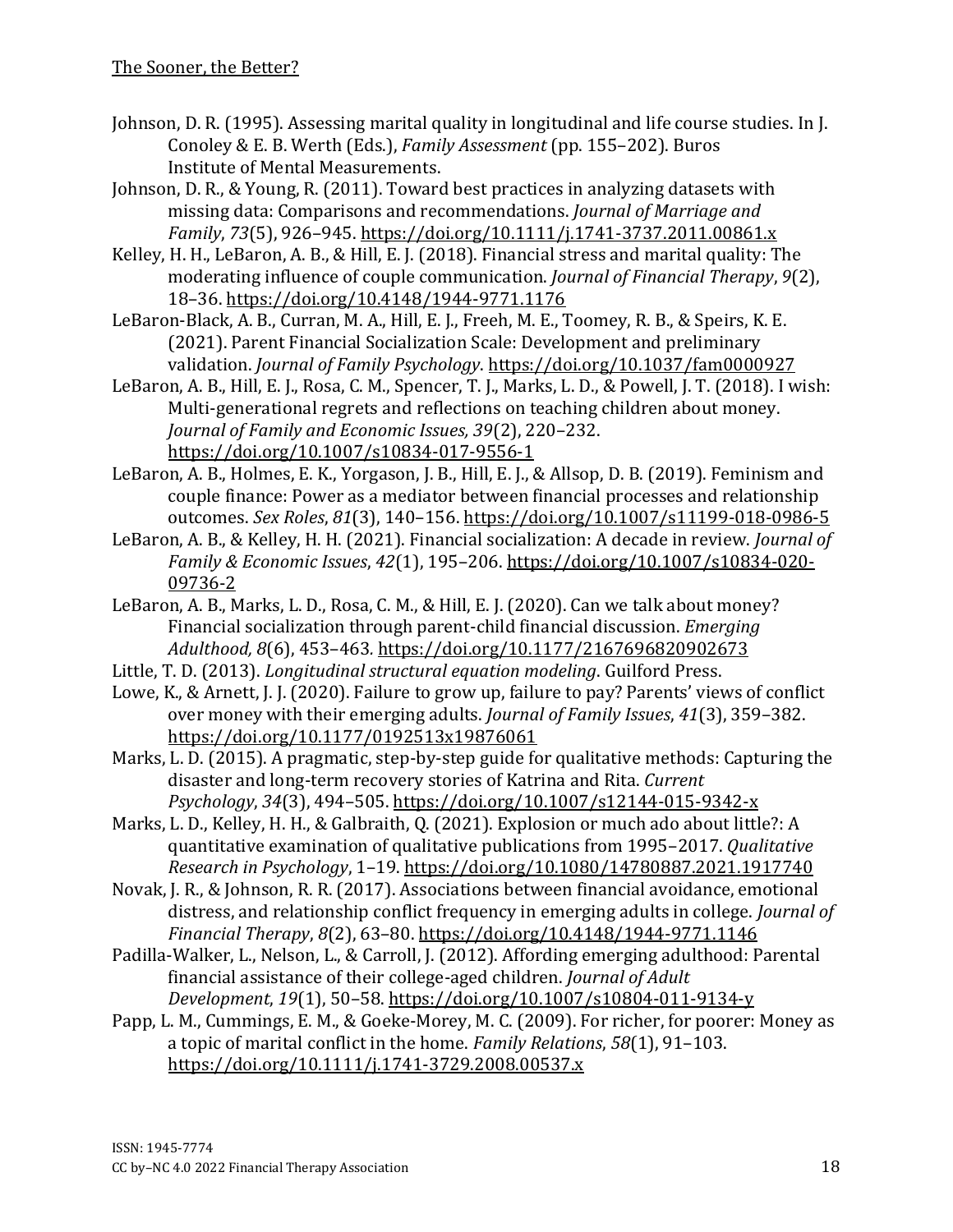- Johnson, D. R. (1995). Assessing marital quality in longitudinal and life course studies. In J. Conoley & E. B. Werth (Eds.), *Family Assessment* (pp. 155–202). Buros Institute of Mental Measurements.
- Johnson, D. R., & Young, R. (2011). Toward best practices in analyzing datasets with missing data: Comparisons and recommendations. *Journal of Marriage and Family*, *73*(5), 926–945.<https://doi.org/10.1111/j.1741-3737.2011.00861.x>
- Kelley, H. H., LeBaron, A. B., & Hill, E. J. (2018). Financial stress and marital quality: The moderating influence of couple communication. *Journal of Financial Therapy*, *9*(2), 18–36. <https://doi.org/10.4148/1944-9771.1176>
- LeBaron-Black, A. B., Curran, M. A., Hill, E. J., Freeh, M. E., Toomey, R. B., & Speirs, K. E. (2021). Parent Financial Socialization Scale: Development and preliminary validation. *Journal of Family Psychology*.<https://doi.org/10.1037/fam0000927>
- LeBaron, A. B., Hill, E. J., Rosa, C. M., Spencer, T. J., Marks, L. D., & Powell, J. T. (2018). I wish: Multi-generational regrets and reflections on teaching children about money. *Journal of Family and Economic Issues, 39*(2), 220–232. <https://doi.org/10.1007/s10834-017-9556-1>
- LeBaron, A. B., Holmes, E. K., Yorgason, J. B., Hill, E. J., & Allsop, D. B. (2019). Feminism and couple finance: Power as a mediator between financial processes and relationship outcomes. *Sex Roles*, *81*(3), 140–156.<https://doi.org/10.1007/s11199-018-0986-5>
- LeBaron, A. B., & Kelley, H. H. (2021). Financial socialization: A decade in review. *Journal of Family & Economic Issues*, *42*(1), 195–206. [https://doi.org/10.1007/s10834-020-](https://doi.org/10.1007/s10834-020-09736-2) [09736-2](https://doi.org/10.1007/s10834-020-09736-2)
- LeBaron, A. B., Marks, L. D., Rosa, C. M., & Hill, E. J. (2020). Can we talk about money? Financial socialization through parent-child financial discussion. *Emerging Adulthood, 8*(6), 453–463*.* <https://doi.org/10.1177/2167696820902673>
- Little, T. D. (2013). *Longitudinal structural equation modeling*. Guilford Press.
- Lowe, K., & Arnett, J. J. (2020). Failure to grow up, failure to pay? Parents' views of conflict over money with their emerging adults. *Journal of Family Issues*, *41*(3), 359–382. <https://doi.org/10.1177/0192513x19876061>
- Marks, L. D. (2015). A pragmatic, step-by-step guide for qualitative methods: Capturing the disaster and long-term recovery stories of Katrina and Rita. *Current Psychology*, *34*(3), 494–505. <https://doi.org/10.1007/s12144-015-9342-x>
- Marks, L. D., Kelley, H. H., & Galbraith, Q. (2021). Explosion or much ado about little?: A quantitative examination of qualitative publications from 1995–2017. *Qualitative Research in Psychology*, 1–19. <https://doi.org/10.1080/14780887.2021.1917740>
- Novak, J. R., & Johnson, R. R. (2017). Associations between financial avoidance, emotional distress, and relationship conflict frequency in emerging adults in college. *Journal of Financial Therapy*, *8*(2), 63–80.<https://doi.org/10.4148/1944-9771.1146>
- Padilla-Walker, L., Nelson, L., & Carroll, J. (2012). Affording emerging adulthood: Parental financial assistance of their college-aged children. *Journal of Adult Development*, *19*(1), 50–58.<https://doi.org/10.1007/s10804-011-9134-y>
- Papp, L. M., Cummings, E. M., & Goeke‐Morey, M. C. (2009). For richer, for poorer: Money as a topic of marital conflict in the home. *Family Relations*, *58*(1), 91–103. <https://doi.org/10.1111/j.1741-3729.2008.00537.x>